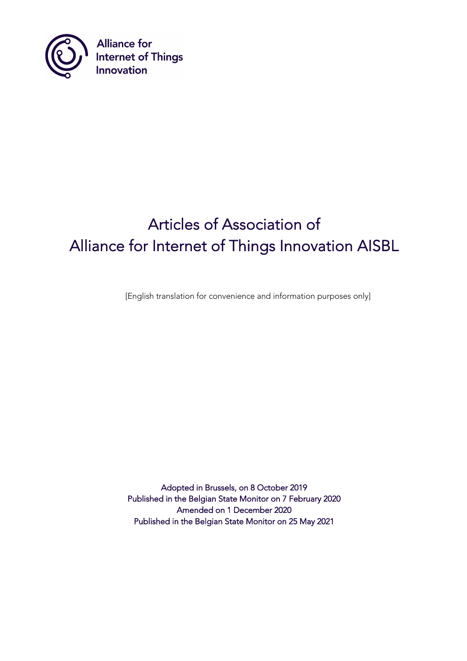

**Alliance for<br>Internet of Things<br>Innovation** 

# Articles of Association of Alliance for Internet of Things Innovation AISBL

[English translation for convenience and information purposes only]

Adopted in Brussels, on 8 October 2019 Published in the Belgian State Monitor on 7 February 2020 Amended on 1 December 2020 Published in the Belgian State Monitor on 25 May 2021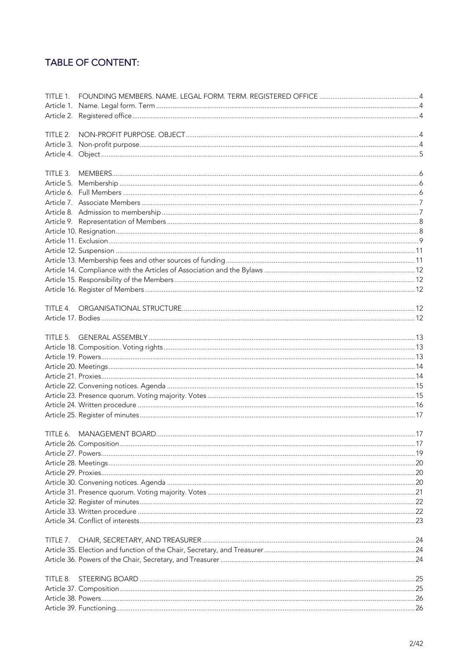# TABLE OF CONTENT:

| TITLE 1.   |  |
|------------|--|
|            |  |
|            |  |
|            |  |
| TITLE 2.   |  |
| Article 3. |  |
|            |  |
| TITLE 3.   |  |
| Article 5. |  |
|            |  |
|            |  |
|            |  |
|            |  |
|            |  |
|            |  |
|            |  |
|            |  |
|            |  |
|            |  |
|            |  |
|            |  |
|            |  |
|            |  |
|            |  |
| TITLE 5.   |  |
|            |  |
|            |  |
|            |  |
|            |  |
|            |  |
|            |  |
|            |  |
|            |  |
|            |  |
|            |  |
|            |  |
|            |  |
|            |  |
|            |  |
|            |  |
|            |  |
|            |  |
|            |  |
|            |  |
|            |  |
| TITLE 7.   |  |
|            |  |
|            |  |
| TITLE 8.   |  |
|            |  |
|            |  |
|            |  |
|            |  |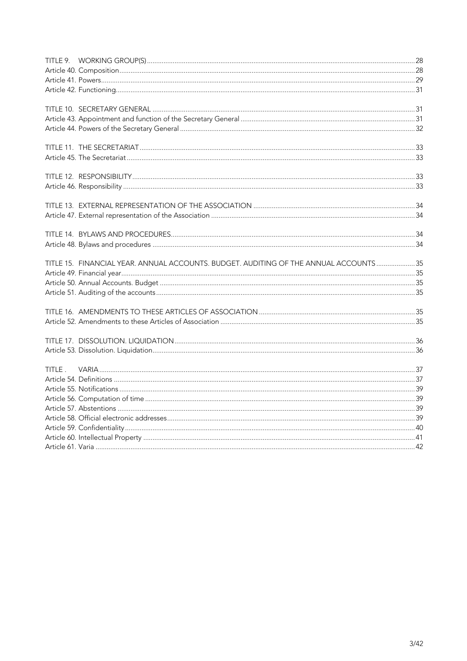|        | TITLE 15. FINANCIAL YEAR. ANNUAL ACCOUNTS. BUDGET. AUDITING OF THE ANNUAL ACCOUNTS 35 |  |
|--------|---------------------------------------------------------------------------------------|--|
|        |                                                                                       |  |
|        |                                                                                       |  |
|        |                                                                                       |  |
|        |                                                                                       |  |
|        |                                                                                       |  |
|        |                                                                                       |  |
|        |                                                                                       |  |
| TITLE. |                                                                                       |  |
|        |                                                                                       |  |
|        |                                                                                       |  |
|        |                                                                                       |  |
|        |                                                                                       |  |
|        |                                                                                       |  |
|        |                                                                                       |  |
|        |                                                                                       |  |
|        |                                                                                       |  |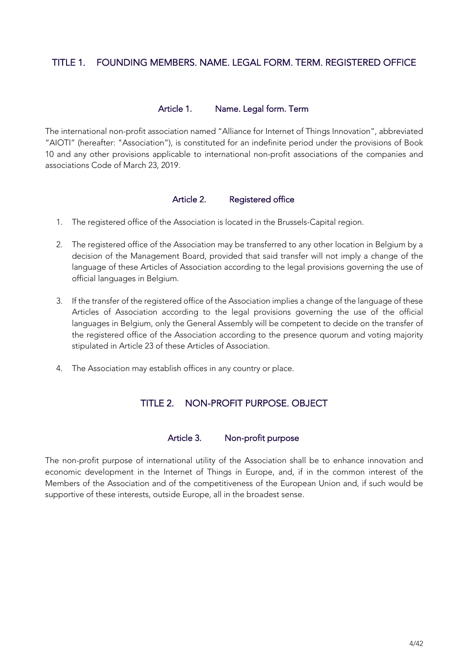# TITLE 1. FOUNDING MEMBERS. NAME. LEGAL FORM. TERM. REGISTERED OFFICE

## Article 1. Name. Legal form. Term

The international non-profit association named "Alliance for Internet of Things Innovation", abbreviated "AIOTI" (hereafter: "Association"), is constituted for an indefinite period under the provisions of Book 10 and any other provisions applicable to international non-profit associations of the companies and associations Code of March 23, 2019.

## Article 2. Registered office

- 1. The registered office of the Association is located in the Brussels-Capital region.
- 2. The registered office of the Association may be transferred to any other location in Belgium by a decision of the Management Board, provided that said transfer will not imply a change of the language of these Articles of Association according to the legal provisions governing the use of official languages in Belgium.
- 3. If the transfer of the registered office of the Association implies a change of the language of these Articles of Association according to the legal provisions governing the use of the official languages in Belgium, only the General Assembly will be competent to decide on the transfer of the registered office of the Association according to the presence quorum and voting majority stipulated in Article 23 of these Articles of Association.
- 4. The Association may establish offices in any country or place.

# TITLE 2. NON-PROFIT PURPOSE. OBJECT

#### Article 3. Non-profit purpose

The non-profit purpose of international utility of the Association shall be to enhance innovation and economic development in the Internet of Things in Europe, and, if in the common interest of the Members of the Association and of the competitiveness of the European Union and, if such would be supportive of these interests, outside Europe, all in the broadest sense.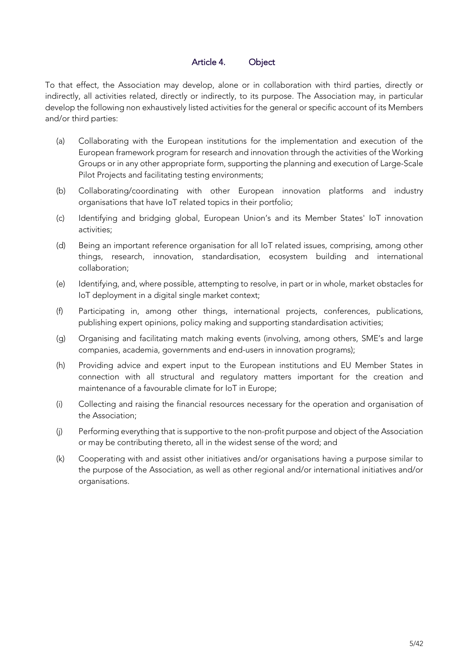# Article 4. Object

To that effect, the Association may develop, alone or in collaboration with third parties, directly or indirectly, all activities related, directly or indirectly, to its purpose. The Association may, in particular develop the following non exhaustively listed activities for the general or specific account of its Members and/or third parties:

- (a) Collaborating with the European institutions for the implementation and execution of the European framework program for research and innovation through the activities of the Working Groups or in any other appropriate form, supporting the planning and execution of Large-Scale Pilot Projects and facilitating testing environments;
- (b) Collaborating/coordinating with other European innovation platforms and industry organisations that have IoT related topics in their portfolio;
- (c) Identifying and bridging global, European Union's and its Member States' IoT innovation activities;
- (d) Being an important reference organisation for all IoT related issues, comprising, among other things, research, innovation, standardisation, ecosystem building and international collaboration;
- (e) Identifying, and, where possible, attempting to resolve, in part or in whole, market obstacles for IoT deployment in a digital single market context;
- (f) Participating in, among other things, international projects, conferences, publications, publishing expert opinions, policy making and supporting standardisation activities;
- (g) Organising and facilitating match making events (involving, among others, SME's and large companies, academia, governments and end-users in innovation programs);
- (h) Providing advice and expert input to the European institutions and EU Member States in connection with all structural and regulatory matters important for the creation and maintenance of a favourable climate for IoT in Europe;
- (i) Collecting and raising the financial resources necessary for the operation and organisation of the Association;
- (j) Performing everything that is supportive to the non-profit purpose and object of the Association or may be contributing thereto, all in the widest sense of the word; and
- (k) Cooperating with and assist other initiatives and/or organisations having a purpose similar to the purpose of the Association, as well as other regional and/or international initiatives and/or organisations.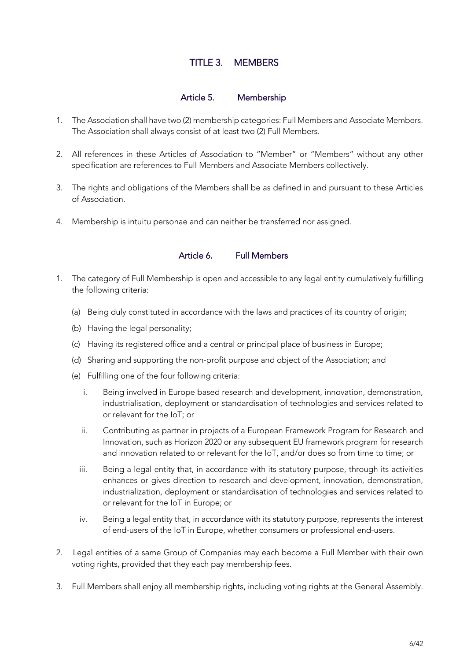# TITLE 3. MEMBERS

#### Article 5. Membership

- 1. The Association shall have two (2) membership categories: Full Members and Associate Members. The Association shall always consist of at least two (2) Full Members.
- 2. All references in these Articles of Association to "Member" or "Members" without any other specification are references to Full Members and Associate Members collectively.
- 3. The rights and obligations of the Members shall be as defined in and pursuant to these Articles of Association.
- 4. Membership is intuitu personae and can neither be transferred nor assigned.

# Article 6. Full Members

- 1. The category of Full Membership is open and accessible to any legal entity cumulatively fulfilling the following criteria:
	- (a) Being duly constituted in accordance with the laws and practices of its country of origin;
	- (b) Having the legal personality;
	- (c) Having its registered office and a central or principal place of business in Europe;
	- (d) Sharing and supporting the non-profit purpose and object of the Association; and
	- (e) Fulfilling one of the four following criteria:
		- i. Being involved in Europe based research and development, innovation, demonstration, industrialisation, deployment or standardisation of technologies and services related to or relevant for the IoT; or
		- ii. Contributing as partner in projects of a European Framework Program for Research and Innovation, such as Horizon 2020 or any subsequent EU framework program for research and innovation related to or relevant for the IoT, and/or does so from time to time; or
		- iii. Being a legal entity that, in accordance with its statutory purpose, through its activities enhances or gives direction to research and development, innovation, demonstration, industrialization, deployment or standardisation of technologies and services related to or relevant for the IoT in Europe; or
		- iv. Being a legal entity that, in accordance with its statutory purpose, represents the interest of end-users of the IoT in Europe, whether consumers or professional end-users.
- 2. Legal entities of a same Group of Companies may each become a Full Member with their own voting rights, provided that they each pay membership fees.
- 3. Full Members shall enjoy all membership rights, including voting rights at the General Assembly.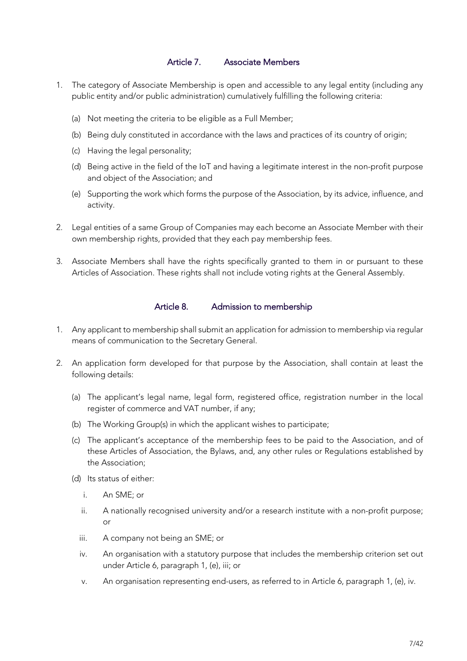## Article 7. Associate Members

- 1. The category of Associate Membership is open and accessible to any legal entity (including any public entity and/or public administration) cumulatively fulfilling the following criteria:
	- (a) Not meeting the criteria to be eligible as a Full Member;
	- (b) Being duly constituted in accordance with the laws and practices of its country of origin;
	- (c) Having the legal personality;
	- (d) Being active in the field of the IoT and having a legitimate interest in the non-profit purpose and object of the Association; and
	- (e) Supporting the work which forms the purpose of the Association, by its advice, influence, and activity.
- 2. Legal entities of a same Group of Companies may each become an Associate Member with their own membership rights, provided that they each pay membership fees.
- 3. Associate Members shall have the rights specifically granted to them in or pursuant to these Articles of Association. These rights shall not include voting rights at the General Assembly.

#### Article 8. Admission to membership

- 1. Any applicant to membership shall submit an application for admission to membership via regular means of communication to the Secretary General.
- 2. An application form developed for that purpose by the Association, shall contain at least the following details:
	- (a) The applicant's legal name, legal form, registered office, registration number in the local register of commerce and VAT number, if any;
	- (b) The Working Group(s) in which the applicant wishes to participate;
	- (c) The applicant's acceptance of the membership fees to be paid to the Association, and of these Articles of Association, the Bylaws, and, any other rules or Regulations established by the Association;
	- (d) Its status of either:
		- i. An SME; or
		- ii. A nationally recognised university and/or a research institute with a non-profit purpose; or
		- iii. A company not being an SME; or
		- iv. An organisation with a statutory purpose that includes the membership criterion set out under Article 6, paragraph 1, (e), iii; or
		- v. An organisation representing end-users, as referred to in Article 6, paragraph 1, (e), iv.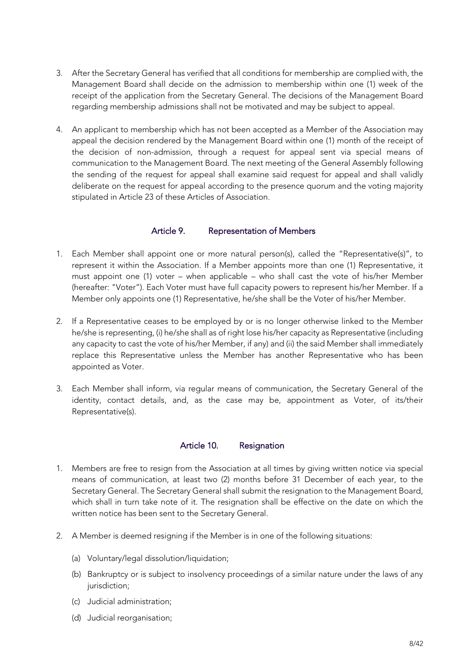- 3. After the Secretary General has verified that all conditions for membership are complied with, the Management Board shall decide on the admission to membership within one (1) week of the receipt of the application from the Secretary General. The decisions of the Management Board regarding membership admissions shall not be motivated and may be subject to appeal.
- 4. An applicant to membership which has not been accepted as a Member of the Association may appeal the decision rendered by the Management Board within one (1) month of the receipt of the decision of non-admission, through a request for appeal sent via special means of communication to the Management Board. The next meeting of the General Assembly following the sending of the request for appeal shall examine said request for appeal and shall validly deliberate on the request for appeal according to the presence quorum and the voting majority stipulated in Article 23 of these Articles of Association.

## Article 9. Representation of Members

- 1. Each Member shall appoint one or more natural person(s), called the "Representative(s)", to represent it within the Association. If a Member appoints more than one (1) Representative, it must appoint one (1) voter – when applicable – who shall cast the vote of his/her Member (hereafter: "Voter"). Each Voter must have full capacity powers to represent his/her Member. If a Member only appoints one (1) Representative, he/she shall be the Voter of his/her Member.
- 2. If a Representative ceases to be employed by or is no longer otherwise linked to the Member he/she is representing, (i) he/she shall as of right lose his/her capacity as Representative (including any capacity to cast the vote of his/her Member, if any) and (ii) the said Member shall immediately replace this Representative unless the Member has another Representative who has been appointed as Voter.
- 3. Each Member shall inform, via regular means of communication, the Secretary General of the identity, contact details, and, as the case may be, appointment as Voter, of its/their Representative(s).

#### Article 10. Resignation

- 1. Members are free to resign from the Association at all times by giving written notice via special means of communication, at least two (2) months before 31 December of each year, to the Secretary General. The Secretary General shall submit the resignation to the Management Board, which shall in turn take note of it. The resignation shall be effective on the date on which the written notice has been sent to the Secretary General.
- 2. A Member is deemed resigning if the Member is in one of the following situations:
	- (a) Voluntary/legal dissolution/liquidation;
	- (b) Bankruptcy or is subject to insolvency proceedings of a similar nature under the laws of any jurisdiction;
	- (c) Judicial administration;
	- (d) Judicial reorganisation;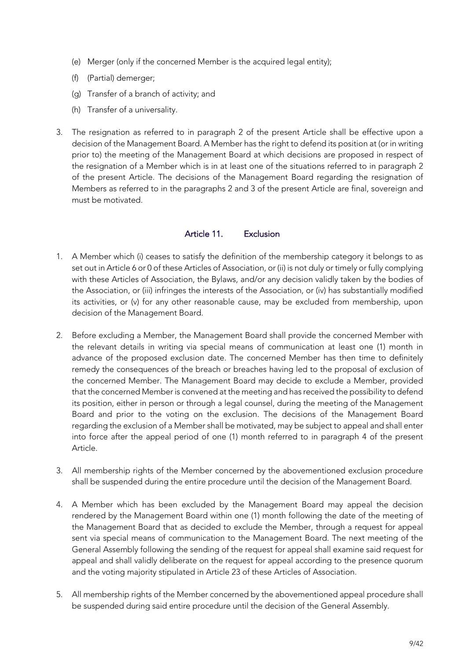- (e) Merger (only if the concerned Member is the acquired legal entity);
- (f) (Partial) demerger;
- (g) Transfer of a branch of activity; and
- (h) Transfer of a universality.
- 3. The resignation as referred to in paragraph 2 of the present Article shall be effective upon a decision of the Management Board. A Member has the right to defend its position at (or in writing prior to) the meeting of the Management Board at which decisions are proposed in respect of the resignation of a Member which is in at least one of the situations referred to in paragraph 2 of the present Article. The decisions of the Management Board regarding the resignation of Members as referred to in the paragraphs 2 and 3 of the present Article are final, sovereign and must be motivated.

# Article 11. Exclusion

- 1. A Member which (i) ceases to satisfy the definition of the membership category it belongs to as set out in Article 6 or 0 of these Articles of Association, or (ii) is not duly or timely or fully complying with these Articles of Association, the Bylaws, and/or any decision validly taken by the bodies of the Association, or (iii) infringes the interests of the Association, or (iv) has substantially modified its activities, or (v) for any other reasonable cause, may be excluded from membership, upon decision of the Management Board.
- 2. Before excluding a Member, the Management Board shall provide the concerned Member with the relevant details in writing via special means of communication at least one (1) month in advance of the proposed exclusion date. The concerned Member has then time to definitely remedy the consequences of the breach or breaches having led to the proposal of exclusion of the concerned Member. The Management Board may decide to exclude a Member, provided that the concerned Member is convened at the meeting and has received the possibility to defend its position, either in person or through a legal counsel, during the meeting of the Management Board and prior to the voting on the exclusion. The decisions of the Management Board regarding the exclusion of a Member shall be motivated, may be subject to appeal and shall enter into force after the appeal period of one (1) month referred to in paragraph 4 of the present Article.
- 3. All membership rights of the Member concerned by the abovementioned exclusion procedure shall be suspended during the entire procedure until the decision of the Management Board.
- 4. A Member which has been excluded by the Management Board may appeal the decision rendered by the Management Board within one (1) month following the date of the meeting of the Management Board that as decided to exclude the Member, through a request for appeal sent via special means of communication to the Management Board. The next meeting of the General Assembly following the sending of the request for appeal shall examine said request for appeal and shall validly deliberate on the request for appeal according to the presence quorum and the voting majority stipulated in Article 23 of these Articles of Association.
- 5. All membership rights of the Member concerned by the abovementioned appeal procedure shall be suspended during said entire procedure until the decision of the General Assembly.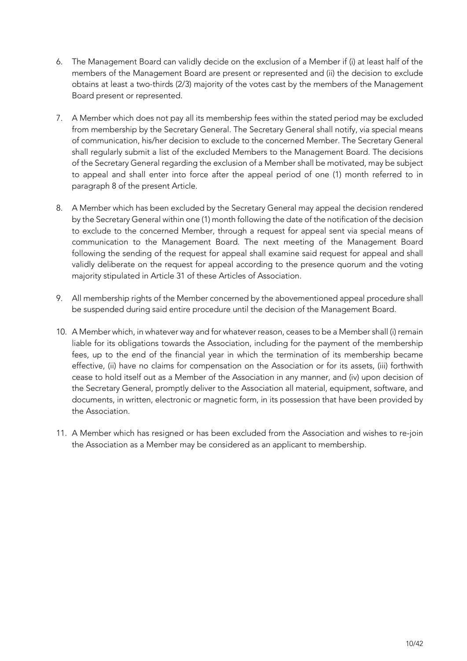- 6. The Management Board can validly decide on the exclusion of a Member if (i) at least half of the members of the Management Board are present or represented and (ii) the decision to exclude obtains at least a two-thirds (2/3) majority of the votes cast by the members of the Management Board present or represented.
- 7. A Member which does not pay all its membership fees within the stated period may be excluded from membership by the Secretary General. The Secretary General shall notify, via special means of communication, his/her decision to exclude to the concerned Member. The Secretary General shall regularly submit a list of the excluded Members to the Management Board. The decisions of the Secretary General regarding the exclusion of a Member shall be motivated, may be subject to appeal and shall enter into force after the appeal period of one (1) month referred to in paragraph 8 of the present Article.
- 8. A Member which has been excluded by the Secretary General may appeal the decision rendered by the Secretary General within one (1) month following the date of the notification of the decision to exclude to the concerned Member, through a request for appeal sent via special means of communication to the Management Board. The next meeting of the Management Board following the sending of the request for appeal shall examine said request for appeal and shall validly deliberate on the request for appeal according to the presence quorum and the voting majority stipulated in Article 31 of these Articles of Association.
- 9. All membership rights of the Member concerned by the abovementioned appeal procedure shall be suspended during said entire procedure until the decision of the Management Board.
- 10. A Member which, in whatever way and for whatever reason, ceases to be a Member shall (i) remain liable for its obligations towards the Association, including for the payment of the membership fees, up to the end of the financial year in which the termination of its membership became effective, (ii) have no claims for compensation on the Association or for its assets, (iii) forthwith cease to hold itself out as a Member of the Association in any manner, and (iv) upon decision of the Secretary General, promptly deliver to the Association all material, equipment, software, and documents, in written, electronic or magnetic form, in its possession that have been provided by the Association.
- 11. A Member which has resigned or has been excluded from the Association and wishes to re-join the Association as a Member may be considered as an applicant to membership.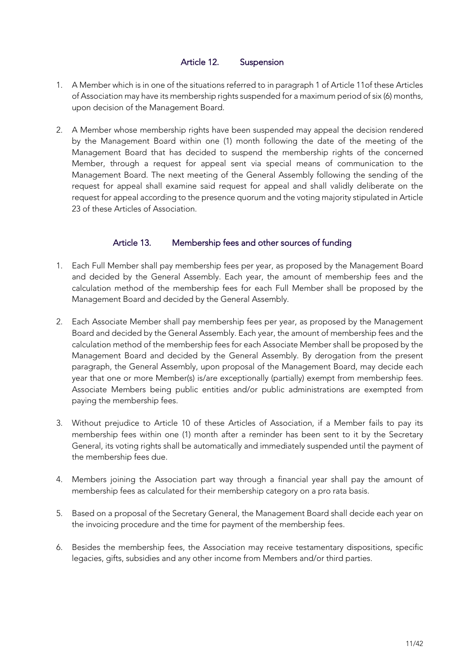## Article 12. Suspension

- 1. A Member which is in one of the situations referred to in paragraph 1 of Article 11of these Articles of Association may have its membership rights suspended for a maximum period of six (6) months, upon decision of the Management Board.
- 2. A Member whose membership rights have been suspended may appeal the decision rendered by the Management Board within one (1) month following the date of the meeting of the Management Board that has decided to suspend the membership rights of the concerned Member, through a request for appeal sent via special means of communication to the Management Board. The next meeting of the General Assembly following the sending of the request for appeal shall examine said request for appeal and shall validly deliberate on the request for appeal according to the presence quorum and the voting majority stipulated in Article 23 of these Articles of Association.

# Article 13. Membership fees and other sources of funding

- 1. Each Full Member shall pay membership fees per year, as proposed by the Management Board and decided by the General Assembly. Each year, the amount of membership fees and the calculation method of the membership fees for each Full Member shall be proposed by the Management Board and decided by the General Assembly.
- 2. Each Associate Member shall pay membership fees per year, as proposed by the Management Board and decided by the General Assembly. Each year, the amount of membership fees and the calculation method of the membership fees for each Associate Member shall be proposed by the Management Board and decided by the General Assembly. By derogation from the present paragraph, the General Assembly, upon proposal of the Management Board, may decide each year that one or more Member(s) is/are exceptionally (partially) exempt from membership fees. Associate Members being public entities and/or public administrations are exempted from paying the membership fees.
- 3. Without prejudice to Article 10 of these Articles of Association, if a Member fails to pay its membership fees within one (1) month after a reminder has been sent to it by the Secretary General, its voting rights shall be automatically and immediately suspended until the payment of the membership fees due.
- 4. Members joining the Association part way through a financial year shall pay the amount of membership fees as calculated for their membership category on a pro rata basis.
- 5. Based on a proposal of the Secretary General, the Management Board shall decide each year on the invoicing procedure and the time for payment of the membership fees.
- 6. Besides the membership fees, the Association may receive testamentary dispositions, specific legacies, gifts, subsidies and any other income from Members and/or third parties.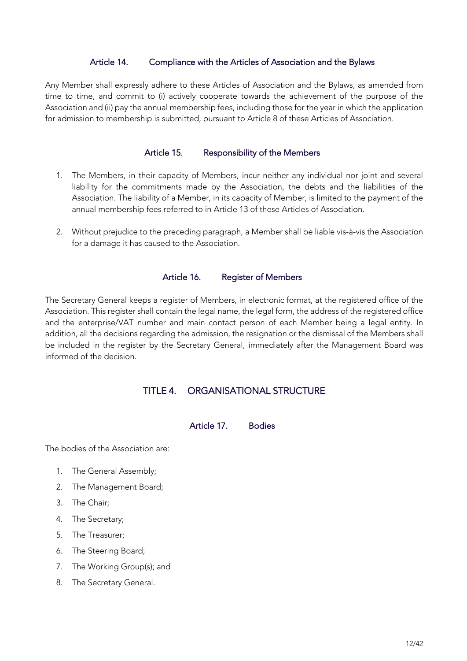#### Article 14. Compliance with the Articles of Association and the Bylaws

Any Member shall expressly adhere to these Articles of Association and the Bylaws, as amended from time to time, and commit to (i) actively cooperate towards the achievement of the purpose of the Association and (ii) pay the annual membership fees, including those for the year in which the application for admission to membership is submitted, pursuant to Article 8 of these Articles of Association.

#### Article 15. Responsibility of the Members

- 1. The Members, in their capacity of Members, incur neither any individual nor joint and several liability for the commitments made by the Association, the debts and the liabilities of the Association. The liability of a Member, in its capacity of Member, is limited to the payment of the annual membership fees referred to in Article 13 of these Articles of Association.
- 2. Without prejudice to the preceding paragraph, a Member shall be liable vis-à-vis the Association for a damage it has caused to the Association.

#### Article 16. Register of Members

The Secretary General keeps a register of Members, in electronic format, at the registered office of the Association. This register shall contain the legal name, the legal form, the address of the registered office and the enterprise/VAT number and main contact person of each Member being a legal entity. In addition, all the decisions regarding the admission, the resignation or the dismissal of the Members shall be included in the register by the Secretary General, immediately after the Management Board was informed of the decision.

# TITLE 4. ORGANISATIONAL STRUCTURE

## Article 17. Bodies

The bodies of the Association are:

- 1. The General Assembly;
- 2. The Management Board;
- 3. The Chair;
- 4. The Secretary;
- 5. The Treasurer;
- 6. The Steering Board;
- 7. The Working Group(s); and
- 8. The Secretary General.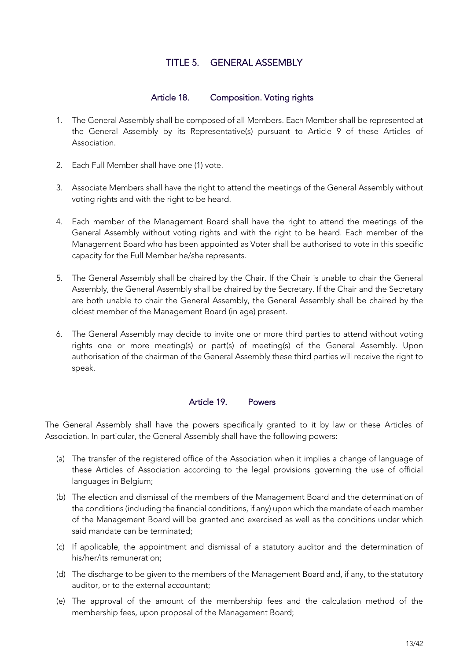# TITLE 5. GENERAL ASSEMBLY

# Article 18. Composition. Voting rights

- 1. The General Assembly shall be composed of all Members. Each Member shall be represented at the General Assembly by its Representative(s) pursuant to Article 9 of these Articles of Association.
- 2. Each Full Member shall have one (1) vote.
- 3. Associate Members shall have the right to attend the meetings of the General Assembly without voting rights and with the right to be heard.
- 4. Each member of the Management Board shall have the right to attend the meetings of the General Assembly without voting rights and with the right to be heard. Each member of the Management Board who has been appointed as Voter shall be authorised to vote in this specific capacity for the Full Member he/she represents.
- 5. The General Assembly shall be chaired by the Chair. If the Chair is unable to chair the General Assembly, the General Assembly shall be chaired by the Secretary. If the Chair and the Secretary are both unable to chair the General Assembly, the General Assembly shall be chaired by the oldest member of the Management Board (in age) present.
- 6. The General Assembly may decide to invite one or more third parties to attend without voting rights one or more meeting(s) or part(s) of meeting(s) of the General Assembly. Upon authorisation of the chairman of the General Assembly these third parties will receive the right to speak.

#### Article 19. Powers

The General Assembly shall have the powers specifically granted to it by law or these Articles of Association. In particular, the General Assembly shall have the following powers:

- (a) The transfer of the registered office of the Association when it implies a change of language of these Articles of Association according to the legal provisions governing the use of official languages in Belgium;
- (b) The election and dismissal of the members of the Management Board and the determination of the conditions (including the financial conditions, if any) upon which the mandate of each member of the Management Board will be granted and exercised as well as the conditions under which said mandate can be terminated;
- (c) If applicable, the appointment and dismissal of a statutory auditor and the determination of his/her/its remuneration;
- (d) The discharge to be given to the members of the Management Board and, if any, to the statutory auditor, or to the external accountant;
- (e) The approval of the amount of the membership fees and the calculation method of the membership fees, upon proposal of the Management Board;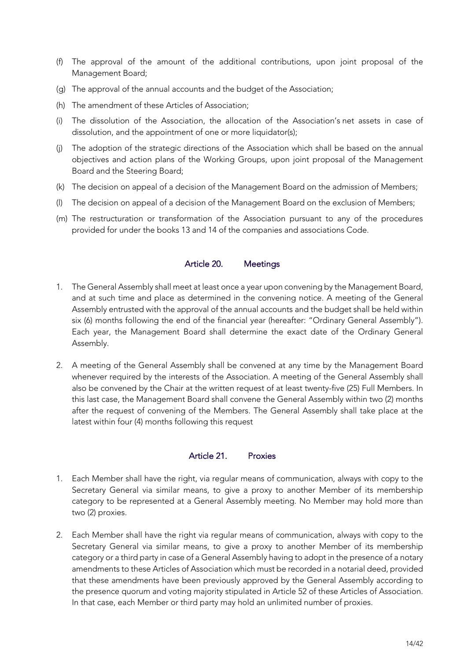- (f) The approval of the amount of the additional contributions, upon joint proposal of the Management Board;
- (g) The approval of the annual accounts and the budget of the Association;
- (h) The amendment of these Articles of Association;
- (i) The dissolution of the Association, the allocation of the Association's net assets in case of dissolution, and the appointment of one or more liquidator(s);
- (j) The adoption of the strategic directions of the Association which shall be based on the annual objectives and action plans of the Working Groups, upon joint proposal of the Management Board and the Steering Board;
- (k) The decision on appeal of a decision of the Management Board on the admission of Members;
- (l) The decision on appeal of a decision of the Management Board on the exclusion of Members;
- (m) The restructuration or transformation of the Association pursuant to any of the procedures provided for under the books 13 and 14 of the companies and associations Code.

#### Article 20. Meetings

- 1. The General Assembly shall meet at least once a year upon convening by the Management Board, and at such time and place as determined in the convening notice. A meeting of the General Assembly entrusted with the approval of the annual accounts and the budget shall be held within six (6) months following the end of the financial year (hereafter: "Ordinary General Assembly"). Each year, the Management Board shall determine the exact date of the Ordinary General Assembly.
- 2. A meeting of the General Assembly shall be convened at any time by the Management Board whenever required by the interests of the Association. A meeting of the General Assembly shall also be convened by the Chair at the written request of at least twenty-five (25) Full Members. In this last case, the Management Board shall convene the General Assembly within two (2) months after the request of convening of the Members. The General Assembly shall take place at the latest within four (4) months following this request

#### Article 21. Proxies

- 1. Each Member shall have the right, via regular means of communication, always with copy to the Secretary General via similar means, to give a proxy to another Member of its membership category to be represented at a General Assembly meeting. No Member may hold more than two (2) proxies.
- 2. Each Member shall have the right via regular means of communication, always with copy to the Secretary General via similar means, to give a proxy to another Member of its membership category or a third party in case of a General Assembly having to adopt in the presence of a notary amendments to these Articles of Association which must be recorded in a notarial deed, provided that these amendments have been previously approved by the General Assembly according to the presence quorum and voting majority stipulated in Article 52 of these Articles of Association. In that case, each Member or third party may hold an unlimited number of proxies.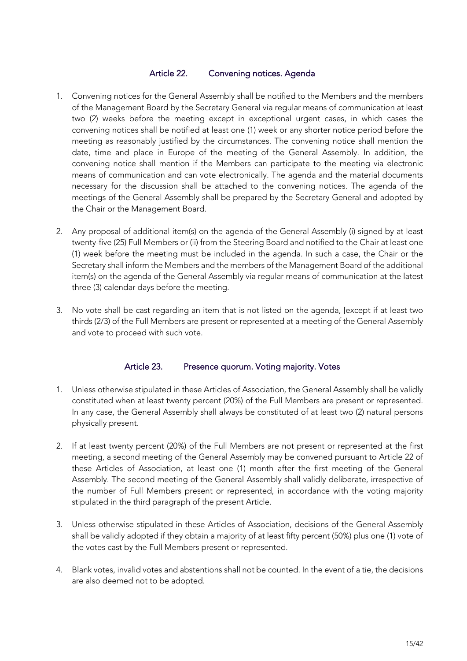## Article 22. Convening notices. Agenda

- 1. Convening notices for the General Assembly shall be notified to the Members and the members of the Management Board by the Secretary General via regular means of communication at least two (2) weeks before the meeting except in exceptional urgent cases, in which cases the convening notices shall be notified at least one (1) week or any shorter notice period before the meeting as reasonably justified by the circumstances. The convening notice shall mention the date, time and place in Europe of the meeting of the General Assembly. In addition, the convening notice shall mention if the Members can participate to the meeting via electronic means of communication and can vote electronically. The agenda and the material documents necessary for the discussion shall be attached to the convening notices. The agenda of the meetings of the General Assembly shall be prepared by the Secretary General and adopted by the Chair or the Management Board.
- 2. Any proposal of additional item(s) on the agenda of the General Assembly (i) signed by at least twenty-five (25) Full Members or (ii) from the Steering Board and notified to the Chair at least one (1) week before the meeting must be included in the agenda. In such a case, the Chair or the Secretary shall inform the Members and the members of the Management Board of the additional item(s) on the agenda of the General Assembly via regular means of communication at the latest three (3) calendar days before the meeting.
- 3. No vote shall be cast regarding an item that is not listed on the agenda, [except if at least two thirds (2/3) of the Full Members are present or represented at a meeting of the General Assembly and vote to proceed with such vote.

# Article 23. Presence quorum. Voting majority. Votes

- 1. Unless otherwise stipulated in these Articles of Association, the General Assembly shall be validly constituted when at least twenty percent (20%) of the Full Members are present or represented. In any case, the General Assembly shall always be constituted of at least two (2) natural persons physically present.
- 2. If at least twenty percent (20%) of the Full Members are not present or represented at the first meeting, a second meeting of the General Assembly may be convened pursuant to Article 22 of these Articles of Association, at least one (1) month after the first meeting of the General Assembly. The second meeting of the General Assembly shall validly deliberate, irrespective of the number of Full Members present or represented, in accordance with the voting majority stipulated in the third paragraph of the present Article.
- 3. Unless otherwise stipulated in these Articles of Association, decisions of the General Assembly shall be validly adopted if they obtain a majority of at least fifty percent (50%) plus one (1) vote of the votes cast by the Full Members present or represented.
- 4. Blank votes, invalid votes and abstentions shall not be counted. In the event of a tie, the decisions are also deemed not to be adopted.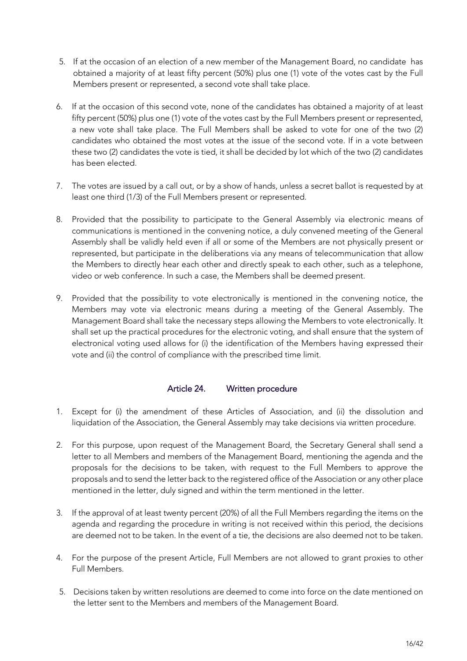- 5. If at the occasion of an election of a new member of the Management Board, no candidate has obtained a majority of at least fifty percent (50%) plus one (1) vote of the votes cast by the Full Members present or represented, a second vote shall take place.
- 6. If at the occasion of this second vote, none of the candidates has obtained a majority of at least fifty percent (50%) plus one (1) vote of the votes cast by the Full Members present or represented, a new vote shall take place. The Full Members shall be asked to vote for one of the two (2) candidates who obtained the most votes at the issue of the second vote. If in a vote between these two (2) candidates the vote is tied, it shall be decided by lot which of the two (2) candidates has been elected.
- 7. The votes are issued by a call out, or by a show of hands, unless a secret ballot is requested by at least one third (1/3) of the Full Members present or represented.
- 8. Provided that the possibility to participate to the General Assembly via electronic means of communications is mentioned in the convening notice, a duly convened meeting of the General Assembly shall be validly held even if all or some of the Members are not physically present or represented, but participate in the deliberations via any means of telecommunication that allow the Members to directly hear each other and directly speak to each other, such as a telephone, video or web conference. In such a case, the Members shall be deemed present.
- 9. Provided that the possibility to vote electronically is mentioned in the convening notice, the Members may vote via electronic means during a meeting of the General Assembly. The Management Board shall take the necessary steps allowing the Members to vote electronically. It shall set up the practical procedures for the electronic voting, and shall ensure that the system of electronical voting used allows for (i) the identification of the Members having expressed their vote and (ii) the control of compliance with the prescribed time limit.

# Article 24. Written procedure

- 1. Except for (i) the amendment of these Articles of Association, and (ii) the dissolution and liquidation of the Association, the General Assembly may take decisions via written procedure.
- 2. For this purpose, upon request of the Management Board, the Secretary General shall send a letter to all Members and members of the Management Board, mentioning the agenda and the proposals for the decisions to be taken, with request to the Full Members to approve the proposals and to send the letter back to the registered office of the Association or any other place mentioned in the letter, duly signed and within the term mentioned in the letter.
- 3. If the approval of at least twenty percent (20%) of all the Full Members regarding the items on the agenda and regarding the procedure in writing is not received within this period, the decisions are deemed not to be taken. In the event of a tie, the decisions are also deemed not to be taken.
- 4. For the purpose of the present Article, Full Members are not allowed to grant proxies to other Full Members.
- 5. Decisions taken by written resolutions are deemed to come into force on the date mentioned on the letter sent to the Members and members of the Management Board.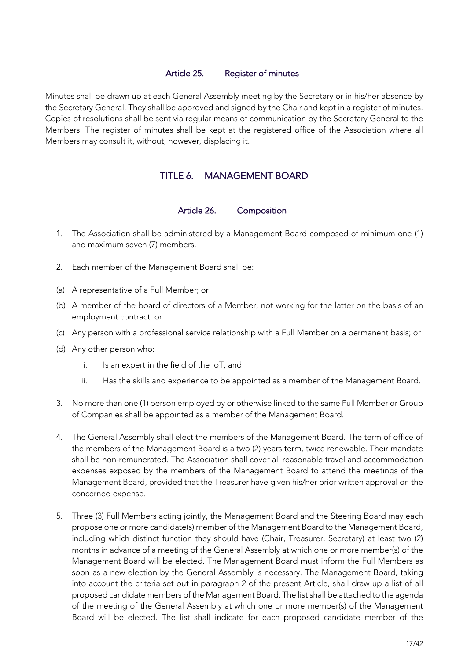#### Article 25. Register of minutes

Minutes shall be drawn up at each General Assembly meeting by the Secretary or in his/her absence by the Secretary General. They shall be approved and signed by the Chair and kept in a register of minutes. Copies of resolutions shall be sent via regular means of communication by the Secretary General to the Members. The register of minutes shall be kept at the registered office of the Association where all Members may consult it, without, however, displacing it.

# TITLE 6. MANAGEMENT BOARD

#### Article 26. Composition

- 1. The Association shall be administered by a Management Board composed of minimum one (1) and maximum seven (7) members.
- 2. Each member of the Management Board shall be:
- (a) A representative of a Full Member; or
- (b) A member of the board of directors of a Member, not working for the latter on the basis of an employment contract; or
- (c) Any person with a professional service relationship with a Full Member on a permanent basis; or
- (d) Any other person who:
	- i. Is an expert in the field of the IoT; and
	- ii. Has the skills and experience to be appointed as a member of the Management Board.
- 3. No more than one (1) person employed by or otherwise linked to the same Full Member or Group of Companies shall be appointed as a member of the Management Board.
- 4. The General Assembly shall elect the members of the Management Board. The term of office of the members of the Management Board is a two (2) years term, twice renewable. Their mandate shall be non-remunerated. The Association shall cover all reasonable travel and accommodation expenses exposed by the members of the Management Board to attend the meetings of the Management Board, provided that the Treasurer have given his/her prior written approval on the concerned expense.
- 5. Three (3) Full Members acting jointly, the Management Board and the Steering Board may each propose one or more candidate(s) member of the Management Board to the Management Board, including which distinct function they should have (Chair, Treasurer, Secretary) at least two (2) months in advance of a meeting of the General Assembly at which one or more member(s) of the Management Board will be elected. The Management Board must inform the Full Members as soon as a new election by the General Assembly is necessary. The Management Board, taking into account the criteria set out in paragraph 2 of the present Article, shall draw up a list of all proposed candidate members of the Management Board. The list shall be attached to the agenda of the meeting of the General Assembly at which one or more member(s) of the Management Board will be elected. The list shall indicate for each proposed candidate member of the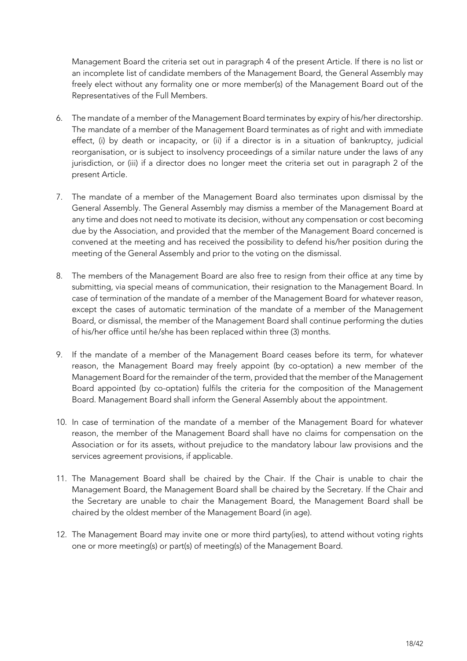Management Board the criteria set out in paragraph 4 of the present Article. If there is no list or an incomplete list of candidate members of the Management Board, the General Assembly may freely elect without any formality one or more member(s) of the Management Board out of the Representatives of the Full Members.

- 6. The mandate of a member of the Management Board terminates by expiry of his/her directorship. The mandate of a member of the Management Board terminates as of right and with immediate effect, (i) by death or incapacity, or (ii) if a director is in a situation of bankruptcy, judicial reorganisation, or is subject to insolvency proceedings of a similar nature under the laws of any jurisdiction, or (iii) if a director does no longer meet the criteria set out in paragraph 2 of the present Article.
- 7. The mandate of a member of the Management Board also terminates upon dismissal by the General Assembly. The General Assembly may dismiss a member of the Management Board at any time and does not need to motivate its decision, without any compensation or cost becoming due by the Association, and provided that the member of the Management Board concerned is convened at the meeting and has received the possibility to defend his/her position during the meeting of the General Assembly and prior to the voting on the dismissal.
- 8. The members of the Management Board are also free to resign from their office at any time by submitting, via special means of communication, their resignation to the Management Board. In case of termination of the mandate of a member of the Management Board for whatever reason, except the cases of automatic termination of the mandate of a member of the Management Board, or dismissal, the member of the Management Board shall continue performing the duties of his/her office until he/she has been replaced within three (3) months.
- 9. If the mandate of a member of the Management Board ceases before its term, for whatever reason, the Management Board may freely appoint (by co-optation) a new member of the Management Board for the remainder of the term, provided that the member of the Management Board appointed (by co-optation) fulfils the criteria for the composition of the Management Board. Management Board shall inform the General Assembly about the appointment.
- 10. In case of termination of the mandate of a member of the Management Board for whatever reason, the member of the Management Board shall have no claims for compensation on the Association or for its assets, without prejudice to the mandatory labour law provisions and the services agreement provisions, if applicable.
- 11. The Management Board shall be chaired by the Chair. If the Chair is unable to chair the Management Board, the Management Board shall be chaired by the Secretary. If the Chair and the Secretary are unable to chair the Management Board, the Management Board shall be chaired by the oldest member of the Management Board (in age).
- 12. The Management Board may invite one or more third party(ies), to attend without voting rights one or more meeting(s) or part(s) of meeting(s) of the Management Board.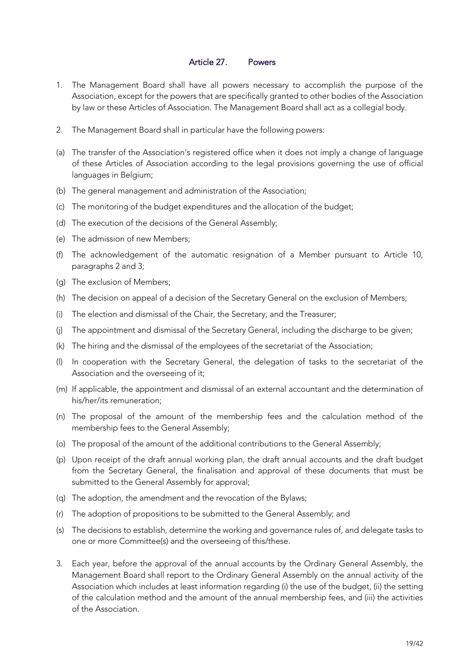# Article 27. Powers

- 1. The Management Board shall have all powers necessary to accomplish the purpose of the Association, except for the powers that are specifically granted to other bodies of the Association by law or these Articles of Association. The Management Board shall act as a collegial body.
- 2. The Management Board shall in particular have the following powers:
- (a) The transfer of the Association's registered office when it does not imply a change of language of these Articles of Association according to the legal provisions governing the use of official languages in Belgium;
- (b) The general management and administration of the Association;
- (c) The monitoring of the budget expenditures and the allocation of the budget;
- (d) The execution of the decisions of the General Assembly;
- (e) The admission of new Members;
- (f) The acknowledgement of the automatic resignation of a Member pursuant to Article 10, paragraphs 2 and 3;
- (g) The exclusion of Members;
- (h) The decision on appeal of a decision of the Secretary General on the exclusion of Members;
- (i) The election and dismissal of the Chair, the Secretary, and the Treasurer;
- (j) The appointment and dismissal of the Secretary General, including the discharge to be given;
- (k) The hiring and the dismissal of the employees of the secretariat of the Association;
- (l) In cooperation with the Secretary General, the delegation of tasks to the secretariat of the Association and the overseeing of it;
- (m) If applicable, the appointment and dismissal of an external accountant and the determination of his/her/its remuneration;
- (n) The proposal of the amount of the membership fees and the calculation method of the membership fees to the General Assembly;
- (o) The proposal of the amount of the additional contributions to the General Assembly;
- (p) Upon receipt of the draft annual working plan, the draft annual accounts and the draft budget from the Secretary General, the finalisation and approval of these documents that must be submitted to the General Assembly for approval;
- (q) The adoption, the amendment and the revocation of the Bylaws;
- (r) The adoption of propositions to be submitted to the General Assembly; and
- (s) The decisions to establish, determine the working and governance rules of, and delegate tasks to one or more Committee(s) and the overseeing of this/these.
- 3. Each year, before the approval of the annual accounts by the Ordinary General Assembly, the Management Board shall report to the Ordinary General Assembly on the annual activity of the Association which includes at least information regarding (i) the use of the budget, (ii) the setting of the calculation method and the amount of the annual membership fees, and (iii) the activities of the Association.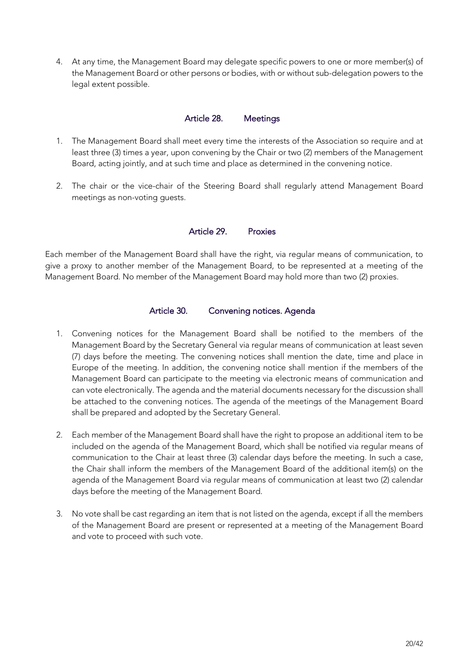4. At any time, the Management Board may delegate specific powers to one or more member(s) of the Management Board or other persons or bodies, with or without sub-delegation powers to the legal extent possible.

#### Article 28. Meetings

- 1. The Management Board shall meet every time the interests of the Association so require and at least three (3) times a year, upon convening by the Chair or two (2) members of the Management Board, acting jointly, and at such time and place as determined in the convening notice.
- 2. The chair or the vice-chair of the Steering Board shall regularly attend Management Board meetings as non-voting guests.

#### Article 29. Proxies

Each member of the Management Board shall have the right, via regular means of communication, to give a proxy to another member of the Management Board, to be represented at a meeting of the Management Board. No member of the Management Board may hold more than two (2) proxies.

#### Article 30. Convening notices. Agenda

- 1. Convening notices for the Management Board shall be notified to the members of the Management Board by the Secretary General via regular means of communication at least seven (7) days before the meeting. The convening notices shall mention the date, time and place in Europe of the meeting. In addition, the convening notice shall mention if the members of the Management Board can participate to the meeting via electronic means of communication and can vote electronically. The agenda and the material documents necessary for the discussion shall be attached to the convening notices. The agenda of the meetings of the Management Board shall be prepared and adopted by the Secretary General.
- 2. Each member of the Management Board shall have the right to propose an additional item to be included on the agenda of the Management Board, which shall be notified via regular means of communication to the Chair at least three (3) calendar days before the meeting. In such a case, the Chair shall inform the members of the Management Board of the additional item(s) on the agenda of the Management Board via regular means of communication at least two (2) calendar days before the meeting of the Management Board.
- 3. No vote shall be cast regarding an item that is not listed on the agenda, except if all the members of the Management Board are present or represented at a meeting of the Management Board and vote to proceed with such vote.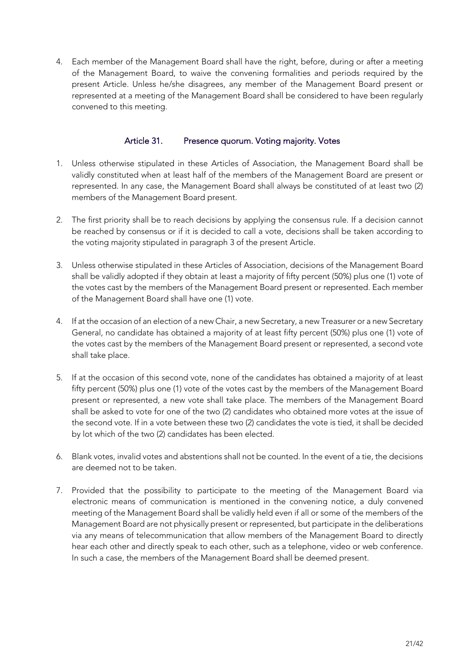4. Each member of the Management Board shall have the right, before, during or after a meeting of the Management Board, to waive the convening formalities and periods required by the present Article. Unless he/she disagrees, any member of the Management Board present or represented at a meeting of the Management Board shall be considered to have been regularly convened to this meeting.

# Article 31. Presence quorum. Voting majority. Votes

- 1. Unless otherwise stipulated in these Articles of Association, the Management Board shall be validly constituted when at least half of the members of the Management Board are present or represented. In any case, the Management Board shall always be constituted of at least two (2) members of the Management Board present.
- 2. The first priority shall be to reach decisions by applying the consensus rule. If a decision cannot be reached by consensus or if it is decided to call a vote, decisions shall be taken according to the voting majority stipulated in paragraph 3 of the present Article.
- 3. Unless otherwise stipulated in these Articles of Association, decisions of the Management Board shall be validly adopted if they obtain at least a majority of fifty percent (50%) plus one (1) vote of the votes cast by the members of the Management Board present or represented. Each member of the Management Board shall have one (1) vote.
- 4. If at the occasion of an election of a new Chair, a new Secretary, a new Treasurer or a new Secretary General, no candidate has obtained a majority of at least fifty percent (50%) plus one (1) vote of the votes cast by the members of the Management Board present or represented, a second vote shall take place.
- 5. If at the occasion of this second vote, none of the candidates has obtained a majority of at least fifty percent (50%) plus one (1) vote of the votes cast by the members of the Management Board present or represented, a new vote shall take place. The members of the Management Board shall be asked to vote for one of the two (2) candidates who obtained more votes at the issue of the second vote. If in a vote between these two (2) candidates the vote is tied, it shall be decided by lot which of the two (2) candidates has been elected.
- 6. Blank votes, invalid votes and abstentions shall not be counted. In the event of a tie, the decisions are deemed not to be taken.
- 7. Provided that the possibility to participate to the meeting of the Management Board via electronic means of communication is mentioned in the convening notice, a duly convened meeting of the Management Board shall be validly held even if all or some of the members of the Management Board are not physically present or represented, but participate in the deliberations via any means of telecommunication that allow members of the Management Board to directly hear each other and directly speak to each other, such as a telephone, video or web conference. In such a case, the members of the Management Board shall be deemed present.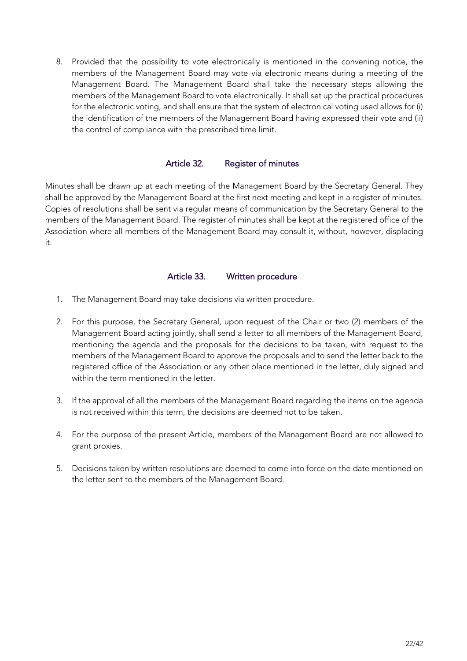8. Provided that the possibility to vote electronically is mentioned in the convening notice, the members of the Management Board may vote via electronic means during a meeting of the Management Board. The Management Board shall take the necessary steps allowing the members of the Management Board to vote electronically. It shall set up the practical procedures for the electronic voting, and shall ensure that the system of electronical voting used allows for (i) the identification of the members of the Management Board having expressed their vote and (ii) the control of compliance with the prescribed time limit.

#### Article 32. Register of minutes

Minutes shall be drawn up at each meeting of the Management Board by the Secretary General. They shall be approved by the Management Board at the first next meeting and kept in a register of minutes. Copies of resolutions shall be sent via regular means of communication by the Secretary General to the members of the Management Board. The register of minutes shall be kept at the registered office of the Association where all members of the Management Board may consult it, without, however, displacing it.

## Article 33. Written procedure

- 1. The Management Board may take decisions via written procedure.
- 2. For this purpose, the Secretary General, upon request of the Chair or two (2) members of the Management Board acting jointly, shall send a letter to all members of the Management Board, mentioning the agenda and the proposals for the decisions to be taken, with request to the members of the Management Board to approve the proposals and to send the letter back to the registered office of the Association or any other place mentioned in the letter, duly signed and within the term mentioned in the letter.
- 3. If the approval of all the members of the Management Board regarding the items on the agenda is not received within this term, the decisions are deemed not to be taken.
- 4. For the purpose of the present Article, members of the Management Board are not allowed to grant proxies.
- 5. Decisions taken by written resolutions are deemed to come into force on the date mentioned on the letter sent to the members of the Management Board.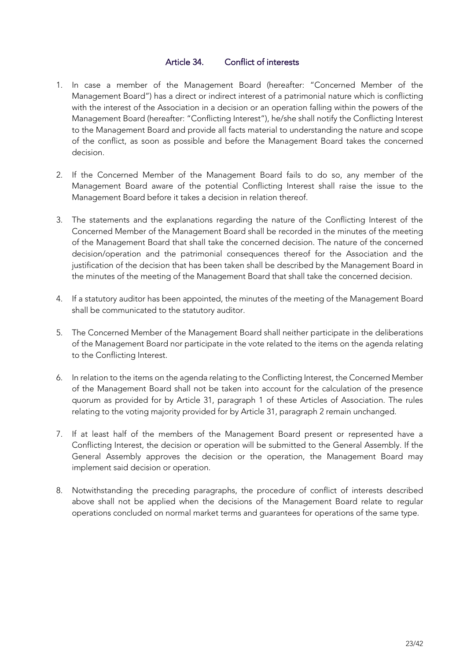## Article 34. Conflict of interests

- 1. In case a member of the Management Board (hereafter: "Concerned Member of the Management Board") has a direct or indirect interest of a patrimonial nature which is conflicting with the interest of the Association in a decision or an operation falling within the powers of the Management Board (hereafter: "Conflicting Interest"), he/she shall notify the Conflicting Interest to the Management Board and provide all facts material to understanding the nature and scope of the conflict, as soon as possible and before the Management Board takes the concerned decision.
- 2. If the Concerned Member of the Management Board fails to do so, any member of the Management Board aware of the potential Conflicting Interest shall raise the issue to the Management Board before it takes a decision in relation thereof.
- 3. The statements and the explanations regarding the nature of the Conflicting Interest of the Concerned Member of the Management Board shall be recorded in the minutes of the meeting of the Management Board that shall take the concerned decision. The nature of the concerned decision/operation and the patrimonial consequences thereof for the Association and the justification of the decision that has been taken shall be described by the Management Board in the minutes of the meeting of the Management Board that shall take the concerned decision.
- 4. If a statutory auditor has been appointed, the minutes of the meeting of the Management Board shall be communicated to the statutory auditor.
- 5. The Concerned Member of the Management Board shall neither participate in the deliberations of the Management Board nor participate in the vote related to the items on the agenda relating to the Conflicting Interest.
- 6. In relation to the items on the agenda relating to the Conflicting Interest, the Concerned Member of the Management Board shall not be taken into account for the calculation of the presence quorum as provided for by Article 31, paragraph 1 of these Articles of Association. The rules relating to the voting majority provided for by Article 31, paragraph 2 remain unchanged.
- 7. If at least half of the members of the Management Board present or represented have a Conflicting Interest, the decision or operation will be submitted to the General Assembly. If the General Assembly approves the decision or the operation, the Management Board may implement said decision or operation.
- 8. Notwithstanding the preceding paragraphs, the procedure of conflict of interests described above shall not be applied when the decisions of the Management Board relate to regular operations concluded on normal market terms and guarantees for operations of the same type.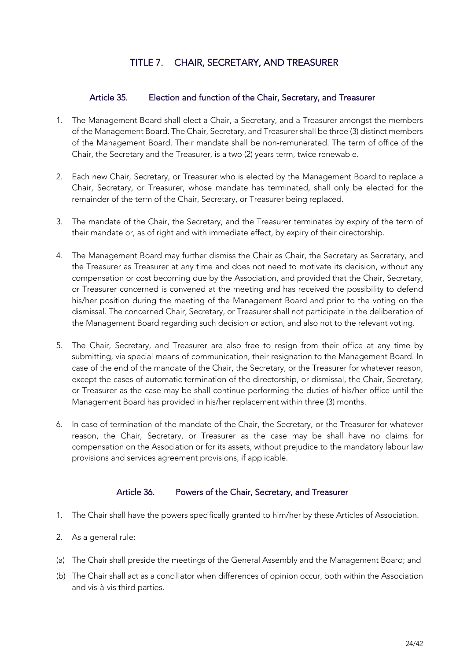# TITLE 7. CHAIR, SECRETARY, AND TREASURER

# Article 35. Election and function of the Chair, Secretary, and Treasurer

- 1. The Management Board shall elect a Chair, a Secretary, and a Treasurer amongst the members of the Management Board. The Chair, Secretary, and Treasurer shall be three (3) distinct members of the Management Board. Their mandate shall be non-remunerated. The term of office of the Chair, the Secretary and the Treasurer, is a two (2) years term, twice renewable.
- 2. Each new Chair, Secretary, or Treasurer who is elected by the Management Board to replace a Chair, Secretary, or Treasurer, whose mandate has terminated, shall only be elected for the remainder of the term of the Chair, Secretary, or Treasurer being replaced.
- 3. The mandate of the Chair, the Secretary, and the Treasurer terminates by expiry of the term of their mandate or, as of right and with immediate effect, by expiry of their directorship.
- 4. The Management Board may further dismiss the Chair as Chair, the Secretary as Secretary, and the Treasurer as Treasurer at any time and does not need to motivate its decision, without any compensation or cost becoming due by the Association, and provided that the Chair, Secretary, or Treasurer concerned is convened at the meeting and has received the possibility to defend his/her position during the meeting of the Management Board and prior to the voting on the dismissal. The concerned Chair, Secretary, or Treasurer shall not participate in the deliberation of the Management Board regarding such decision or action, and also not to the relevant voting.
- 5. The Chair, Secretary, and Treasurer are also free to resign from their office at any time by submitting, via special means of communication, their resignation to the Management Board. In case of the end of the mandate of the Chair, the Secretary, or the Treasurer for whatever reason, except the cases of automatic termination of the directorship, or dismissal, the Chair, Secretary, or Treasurer as the case may be shall continue performing the duties of his/her office until the Management Board has provided in his/her replacement within three (3) months.
- 6. In case of termination of the mandate of the Chair, the Secretary, or the Treasurer for whatever reason, the Chair, Secretary, or Treasurer as the case may be shall have no claims for compensation on the Association or for its assets, without prejudice to the mandatory labour law provisions and services agreement provisions, if applicable.

#### Article 36. Powers of the Chair, Secretary, and Treasurer

- 1. The Chair shall have the powers specifically granted to him/her by these Articles of Association.
- 2. As a general rule:
- (a) The Chair shall preside the meetings of the General Assembly and the Management Board; and
- (b) The Chair shall act as a conciliator when differences of opinion occur, both within the Association and vis-à-vis third parties.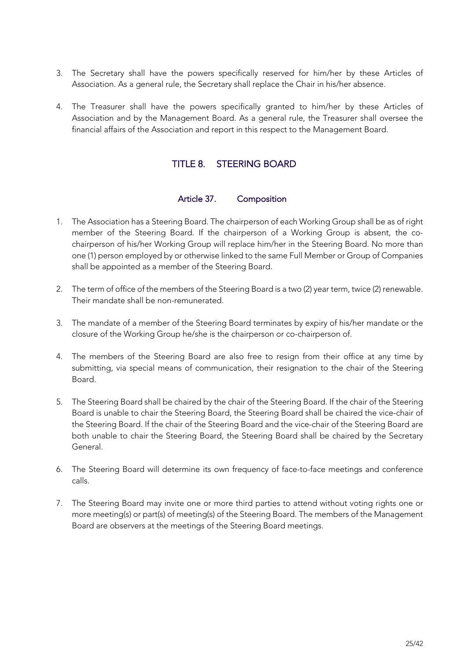- 3. The Secretary shall have the powers specifically reserved for him/her by these Articles of Association. As a general rule, the Secretary shall replace the Chair in his/her absence.
- 4. The Treasurer shall have the powers specifically granted to him/her by these Articles of Association and by the Management Board. As a general rule, the Treasurer shall oversee the financial affairs of the Association and report in this respect to the Management Board.

# TITLE 8. STEERING BOARD

#### Article 37. Composition

- 1. The Association has a Steering Board. The chairperson of each Working Group shall be as of right member of the Steering Board. If the chairperson of a Working Group is absent, the cochairperson of his/her Working Group will replace him/her in the Steering Board. No more than one (1) person employed by or otherwise linked to the same Full Member or Group of Companies shall be appointed as a member of the Steering Board.
- 2. The term of office of the members of the Steering Board is a two (2) year term, twice (2) renewable. Their mandate shall be non-remunerated.
- 3. The mandate of a member of the Steering Board terminates by expiry of his/her mandate or the closure of the Working Group he/she is the chairperson or co-chairperson of.
- 4. The members of the Steering Board are also free to resign from their office at any time by submitting, via special means of communication, their resignation to the chair of the Steering Board.
- 5. The Steering Board shall be chaired by the chair of the Steering Board. If the chair of the Steering Board is unable to chair the Steering Board, the Steering Board shall be chaired the vice-chair of the Steering Board. If the chair of the Steering Board and the vice-chair of the Steering Board are both unable to chair the Steering Board, the Steering Board shall be chaired by the Secretary General.
- 6. The Steering Board will determine its own frequency of face-to-face meetings and conference calls.
- 7. The Steering Board may invite one or more third parties to attend without voting rights one or more meeting(s) or part(s) of meeting(s) of the Steering Board. The members of the Management Board are observers at the meetings of the Steering Board meetings.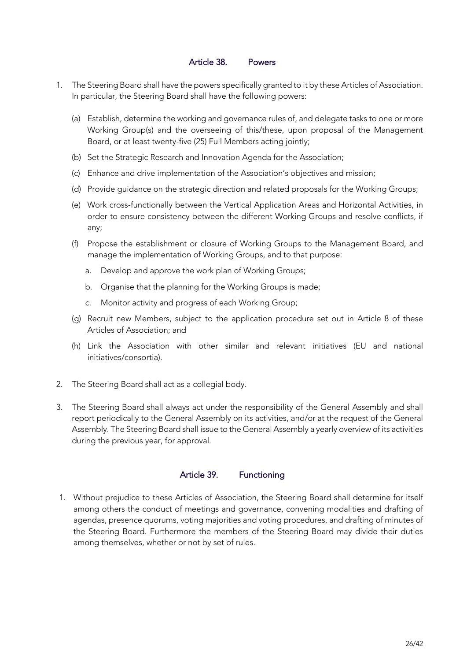#### Article 38. Powers

- 1. The Steering Board shall have the powers specifically granted to it by these Articles of Association. In particular, the Steering Board shall have the following powers:
	- (a) Establish, determine the working and governance rules of, and delegate tasks to one or more Working Group(s) and the overseeing of this/these, upon proposal of the Management Board, or at least twenty-five (25) Full Members acting jointly;
	- (b) Set the Strategic Research and Innovation Agenda for the Association;
	- (c) Enhance and drive implementation of the Association's objectives and mission;
	- (d) Provide guidance on the strategic direction and related proposals for the Working Groups;
	- (e) Work cross-functionally between the Vertical Application Areas and Horizontal Activities, in order to ensure consistency between the different Working Groups and resolve conflicts, if any;
	- (f) Propose the establishment or closure of Working Groups to the Management Board, and manage the implementation of Working Groups, and to that purpose:
		- a. Develop and approve the work plan of Working Groups;
		- b. Organise that the planning for the Working Groups is made;
		- c. Monitor activity and progress of each Working Group;
	- (g) Recruit new Members, subject to the application procedure set out in Article 8 of these Articles of Association; and
	- (h) Link the Association with other similar and relevant initiatives (EU and national initiatives/consortia).
- 2. The Steering Board shall act as a collegial body.
- 3. The Steering Board shall always act under the responsibility of the General Assembly and shall report periodically to the General Assembly on its activities, and/or at the request of the General Assembly. The Steering Board shall issue to the General Assembly a yearly overview of its activities during the previous year, for approval.

# Article 39. Functioning

1. Without prejudice to these Articles of Association, the Steering Board shall determine for itself among others the conduct of meetings and governance, convening modalities and drafting of agendas, presence quorums, voting majorities and voting procedures, and drafting of minutes of the Steering Board. Furthermore the members of the Steering Board may divide their duties among themselves, whether or not by set of rules.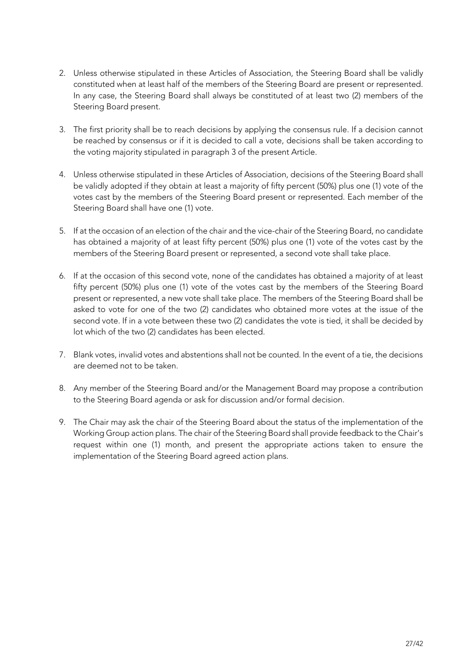- 2. Unless otherwise stipulated in these Articles of Association, the Steering Board shall be validly constituted when at least half of the members of the Steering Board are present or represented. In any case, the Steering Board shall always be constituted of at least two (2) members of the Steering Board present.
- 3. The first priority shall be to reach decisions by applying the consensus rule. If a decision cannot be reached by consensus or if it is decided to call a vote, decisions shall be taken according to the voting majority stipulated in paragraph 3 of the present Article.
- 4. Unless otherwise stipulated in these Articles of Association, decisions of the Steering Board shall be validly adopted if they obtain at least a majority of fifty percent (50%) plus one (1) vote of the votes cast by the members of the Steering Board present or represented. Each member of the Steering Board shall have one (1) vote.
- 5. If at the occasion of an election of the chair and the vice-chair of the Steering Board, no candidate has obtained a majority of at least fifty percent (50%) plus one (1) vote of the votes cast by the members of the Steering Board present or represented, a second vote shall take place.
- 6. If at the occasion of this second vote, none of the candidates has obtained a majority of at least fifty percent (50%) plus one (1) vote of the votes cast by the members of the Steering Board present or represented, a new vote shall take place. The members of the Steering Board shall be asked to vote for one of the two (2) candidates who obtained more votes at the issue of the second vote. If in a vote between these two (2) candidates the vote is tied, it shall be decided by lot which of the two (2) candidates has been elected.
- 7. Blank votes, invalid votes and abstentions shall not be counted. In the event of a tie, the decisions are deemed not to be taken.
- 8. Any member of the Steering Board and/or the Management Board may propose a contribution to the Steering Board agenda or ask for discussion and/or formal decision.
- 9. The Chair may ask the chair of the Steering Board about the status of the implementation of the Working Group action plans. The chair of the Steering Board shall provide feedback to the Chair's request within one (1) month, and present the appropriate actions taken to ensure the implementation of the Steering Board agreed action plans.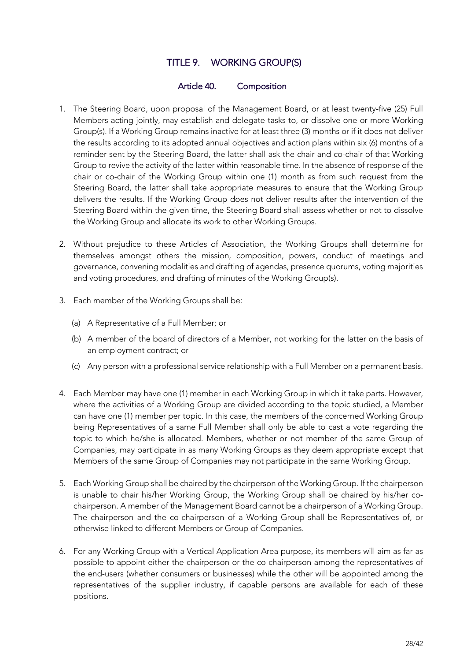# TITLE 9. WORKING GROUP(S)

#### Article 40. Composition

- 1. The Steering Board, upon proposal of the Management Board, or at least twenty-five (25) Full Members acting jointly, may establish and delegate tasks to, or dissolve one or more Working Group(s). If a Working Group remains inactive for at least three (3) months or if it does not deliver the results according to its adopted annual objectives and action plans within six (6) months of a reminder sent by the Steering Board, the latter shall ask the chair and co-chair of that Working Group to revive the activity of the latter within reasonable time. In the absence of response of the chair or co-chair of the Working Group within one (1) month as from such request from the Steering Board, the latter shall take appropriate measures to ensure that the Working Group delivers the results. If the Working Group does not deliver results after the intervention of the Steering Board within the given time, the Steering Board shall assess whether or not to dissolve the Working Group and allocate its work to other Working Groups.
- 2. Without prejudice to these Articles of Association, the Working Groups shall determine for themselves amongst others the mission, composition, powers, conduct of meetings and governance, convening modalities and drafting of agendas, presence quorums, voting majorities and voting procedures, and drafting of minutes of the Working Group(s).
- 3. Each member of the Working Groups shall be:
	- (a) A Representative of a Full Member; or
	- (b) A member of the board of directors of a Member, not working for the latter on the basis of an employment contract; or
	- (c) Any person with a professional service relationship with a Full Member on a permanent basis.
- 4. Each Member may have one (1) member in each Working Group in which it take parts. However, where the activities of a Working Group are divided according to the topic studied, a Member can have one (1) member per topic. In this case, the members of the concerned Working Group being Representatives of a same Full Member shall only be able to cast a vote regarding the topic to which he/she is allocated. Members, whether or not member of the same Group of Companies, may participate in as many Working Groups as they deem appropriate except that Members of the same Group of Companies may not participate in the same Working Group.
- 5. Each Working Group shall be chaired by the chairperson of the Working Group. If the chairperson is unable to chair his/her Working Group, the Working Group shall be chaired by his/her cochairperson. A member of the Management Board cannot be a chairperson of a Working Group. The chairperson and the co-chairperson of a Working Group shall be Representatives of, or otherwise linked to different Members or Group of Companies.
- 6. For any Working Group with a Vertical Application Area purpose, its members will aim as far as possible to appoint either the chairperson or the co-chairperson among the representatives of the end-users (whether consumers or businesses) while the other will be appointed among the representatives of the supplier industry, if capable persons are available for each of these positions.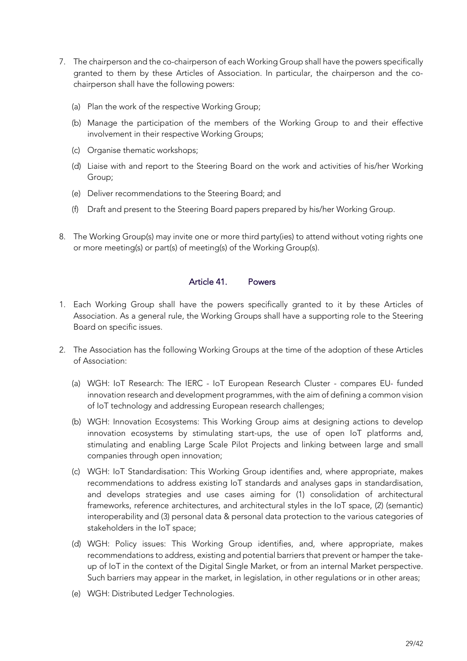- 7. The chairperson and the co-chairperson of each Working Group shall have the powers specifically granted to them by these Articles of Association. In particular, the chairperson and the cochairperson shall have the following powers:
	- (a) Plan the work of the respective Working Group;
	- (b) Manage the participation of the members of the Working Group to and their effective involvement in their respective Working Groups;
	- (c) Organise thematic workshops;
	- (d) Liaise with and report to the Steering Board on the work and activities of his/her Working Group;
	- (e) Deliver recommendations to the Steering Board; and
	- (f) Draft and present to the Steering Board papers prepared by his/her Working Group.
- 8. The Working Group(s) may invite one or more third party(ies) to attend without voting rights one or more meeting(s) or part(s) of meeting(s) of the Working Group(s).

#### Article 41. Powers

- 1. Each Working Group shall have the powers specifically granted to it by these Articles of Association. As a general rule, the Working Groups shall have a supporting role to the Steering Board on specific issues.
- 2. The Association has the following Working Groups at the time of the adoption of these Articles of Association:
	- (a) WGH: IoT Research: The IERC IoT European Research Cluster compares EU- funded innovation research and development programmes, with the aim of defining a common vision of IoT technology and addressing European research challenges;
	- (b) WGH: Innovation Ecosystems: This Working Group aims at designing actions to develop innovation ecosystems by stimulating start-ups, the use of open IoT platforms and, stimulating and enabling Large Scale Pilot Projects and linking between large and small companies through open innovation;
	- (c) WGH: IoT Standardisation: This Working Group identifies and, where appropriate, makes recommendations to address existing IoT standards and analyses gaps in standardisation, and develops strategies and use cases aiming for (1) consolidation of architectural frameworks, reference architectures, and architectural styles in the IoT space, (2) (semantic) interoperability and (3) personal data & personal data protection to the various categories of stakeholders in the IoT space;
	- (d) WGH: Policy issues: This Working Group identifies, and, where appropriate, makes recommendations to address, existing and potential barriers that prevent or hamper the takeup of IoT in the context of the Digital Single Market, or from an internal Market perspective. Such barriers may appear in the market, in legislation, in other regulations or in other areas;
	- (e) WGH: Distributed Ledger Technologies.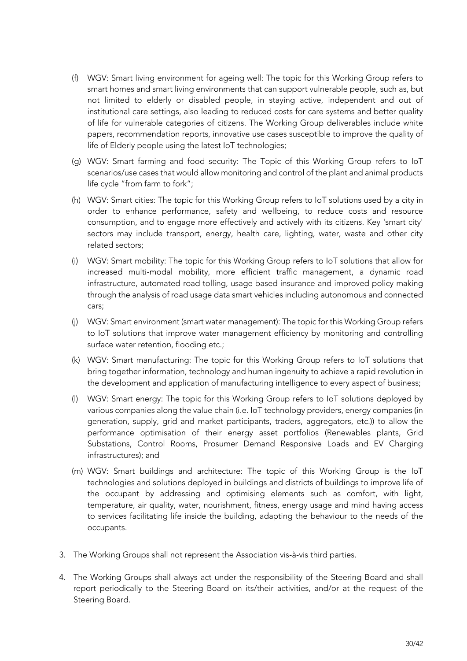- (f) WGV: Smart living environment for ageing well: The topic for this Working Group refers to smart homes and smart living environments that can support vulnerable people, such as, but not limited to elderly or disabled people, in staying active, independent and out of institutional care settings, also leading to reduced costs for care systems and better quality of life for vulnerable categories of citizens. The Working Group deliverables include white papers, recommendation reports, innovative use cases susceptible to improve the quality of life of Elderly people using the latest IoT technologies;
- (g) WGV: Smart farming and food security: The Topic of this Working Group refers to IoT scenarios/use cases that would allow monitoring and control of the plant and animal products life cycle "from farm to fork";
- (h) WGV: Smart cities: The topic for this Working Group refers to IoT solutions used by a city in order to enhance performance, safety and wellbeing, to reduce costs and resource consumption, and to engage more effectively and actively with its citizens. Key 'smart city' sectors may include transport, energy, health care, lighting, water, waste and other city related sectors;
- (i) WGV: Smart mobility: The topic for this Working Group refers to IoT solutions that allow for increased multi-modal mobility, more efficient traffic management, a dynamic road infrastructure, automated road tolling, usage based insurance and improved policy making through the analysis of road usage data smart vehicles including autonomous and connected cars;
- (j) WGV: Smart environment (smart water management): The topic for this Working Group refers to IoT solutions that improve water management efficiency by monitoring and controlling surface water retention, flooding etc.;
- (k) WGV: Smart manufacturing: The topic for this Working Group refers to IoT solutions that bring together information, technology and human ingenuity to achieve a rapid revolution in the development and application of manufacturing intelligence to every aspect of business;
- (l) WGV: Smart energy: The topic for this Working Group refers to IoT solutions deployed by various companies along the value chain (i.e. IoT technology providers, energy companies (in generation, supply, grid and market participants, traders, aggregators, etc.)) to allow the performance optimisation of their energy asset portfolios (Renewables plants, Grid Substations, Control Rooms, Prosumer Demand Responsive Loads and EV Charging infrastructures); and
- (m) WGV: Smart buildings and architecture: The topic of this Working Group is the IoT technologies and solutions deployed in buildings and districts of buildings to improve life of the occupant by addressing and optimising elements such as comfort, with light, temperature, air quality, water, nourishment, fitness, energy usage and mind having access to services facilitating life inside the building, adapting the behaviour to the needs of the occupants.
- 3. The Working Groups shall not represent the Association vis-à-vis third parties.
- 4. The Working Groups shall always act under the responsibility of the Steering Board and shall report periodically to the Steering Board on its/their activities, and/or at the request of the Steering Board.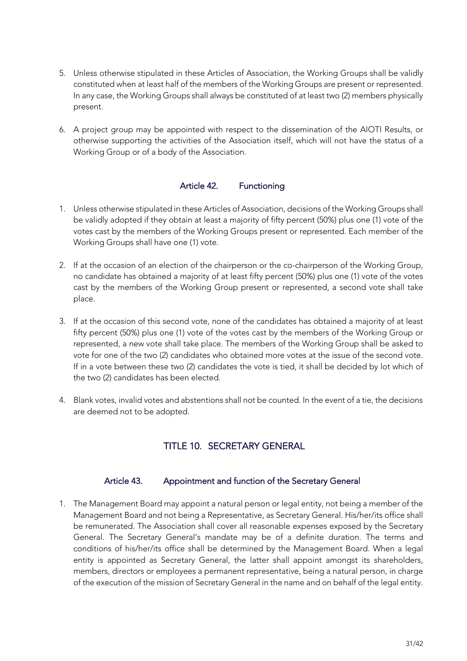- 5. Unless otherwise stipulated in these Articles of Association, the Working Groups shall be validly constituted when at least half of the members of the Working Groups are present or represented. In any case, the Working Groups shall always be constituted of at least two (2) members physically present.
- 6. A project group may be appointed with respect to the dissemination of the AIOTI Results, or otherwise supporting the activities of the Association itself, which will not have the status of a Working Group or of a body of the Association.

# Article 42. Functioning

- 1. Unless otherwise stipulated in these Articles of Association, decisions of the Working Groups shall be validly adopted if they obtain at least a majority of fifty percent (50%) plus one (1) vote of the votes cast by the members of the Working Groups present or represented. Each member of the Working Groups shall have one (1) vote.
- 2. If at the occasion of an election of the chairperson or the co-chairperson of the Working Group, no candidate has obtained a majority of at least fifty percent (50%) plus one (1) vote of the votes cast by the members of the Working Group present or represented, a second vote shall take place.
- 3. If at the occasion of this second vote, none of the candidates has obtained a majority of at least fifty percent (50%) plus one (1) vote of the votes cast by the members of the Working Group or represented, a new vote shall take place. The members of the Working Group shall be asked to vote for one of the two (2) candidates who obtained more votes at the issue of the second vote. If in a vote between these two (2) candidates the vote is tied, it shall be decided by lot which of the two (2) candidates has been elected.
- 4. Blank votes, invalid votes and abstentions shall not be counted. In the event of a tie, the decisions are deemed not to be adopted.

# TITLE 10. SECRETARY GENERAL

#### Article 43. Appointment and function of the Secretary General

1. The Management Board may appoint a natural person or legal entity, not being a member of the Management Board and not being a Representative, as Secretary General. His/her/its office shall be remunerated. The Association shall cover all reasonable expenses exposed by the Secretary General. The Secretary General's mandate may be of a definite duration. The terms and conditions of his/her/its office shall be determined by the Management Board. When a legal entity is appointed as Secretary General, the latter shall appoint amongst its shareholders, members, directors or employees a permanent representative, being a natural person, in charge of the execution of the mission of Secretary General in the name and on behalf of the legal entity.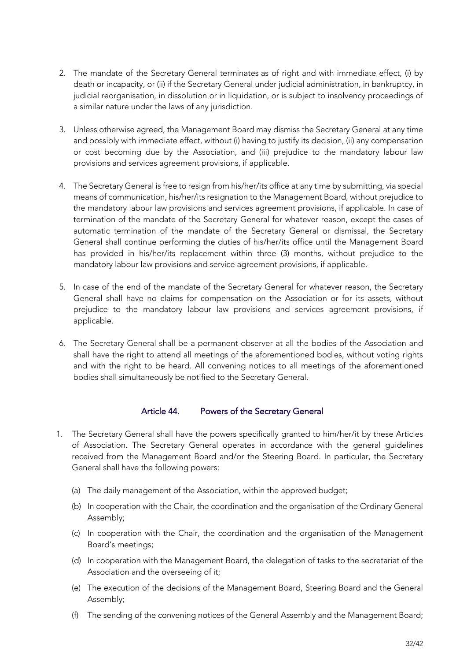- 2. The mandate of the Secretary General terminates as of right and with immediate effect, (i) by death or incapacity, or (ii) if the Secretary General under judicial administration, in bankruptcy, in judicial reorganisation, in dissolution or in liquidation, or is subject to insolvency proceedings of a similar nature under the laws of any jurisdiction.
- 3. Unless otherwise agreed, the Management Board may dismiss the Secretary General at any time and possibly with immediate effect, without (i) having to justify its decision, (ii) any compensation or cost becoming due by the Association, and (iii) prejudice to the mandatory labour law provisions and services agreement provisions, if applicable.
- 4. The Secretary General is free to resign from his/her/its office at any time by submitting, via special means of communication, his/her/its resignation to the Management Board, without prejudice to the mandatory labour law provisions and services agreement provisions, if applicable. In case of termination of the mandate of the Secretary General for whatever reason, except the cases of automatic termination of the mandate of the Secretary General or dismissal, the Secretary General shall continue performing the duties of his/her/its office until the Management Board has provided in his/her/its replacement within three (3) months, without prejudice to the mandatory labour law provisions and service agreement provisions, if applicable.
- 5. In case of the end of the mandate of the Secretary General for whatever reason, the Secretary General shall have no claims for compensation on the Association or for its assets, without prejudice to the mandatory labour law provisions and services agreement provisions, if applicable.
- 6. The Secretary General shall be a permanent observer at all the bodies of the Association and shall have the right to attend all meetings of the aforementioned bodies, without voting rights and with the right to be heard. All convening notices to all meetings of the aforementioned bodies shall simultaneously be notified to the Secretary General.

# Article 44. Powers of the Secretary General

- 1. The Secretary General shall have the powers specifically granted to him/her/it by these Articles of Association. The Secretary General operates in accordance with the general guidelines received from the Management Board and/or the Steering Board. In particular, the Secretary General shall have the following powers:
	- (a) The daily management of the Association, within the approved budget;
	- (b) In cooperation with the Chair, the coordination and the organisation of the Ordinary General Assembly;
	- (c) In cooperation with the Chair, the coordination and the organisation of the Management Board's meetings;
	- (d) In cooperation with the Management Board, the delegation of tasks to the secretariat of the Association and the overseeing of it;
	- (e) The execution of the decisions of the Management Board, Steering Board and the General Assembly;
	- (f) The sending of the convening notices of the General Assembly and the Management Board;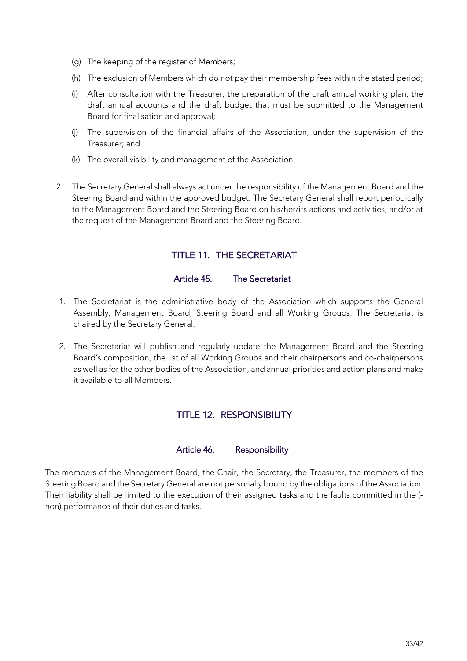- (g) The keeping of the register of Members;
- (h) The exclusion of Members which do not pay their membership fees within the stated period;
- (i) After consultation with the Treasurer, the preparation of the draft annual working plan, the draft annual accounts and the draft budget that must be submitted to the Management Board for finalisation and approval;
- (j) The supervision of the financial affairs of the Association, under the supervision of the Treasurer; and
- (k) The overall visibility and management of the Association.
- 2. The Secretary General shall always act under the responsibility of the Management Board and the Steering Board and within the approved budget. The Secretary General shall report periodically to the Management Board and the Steering Board on his/her/its actions and activities, and/or at the request of the Management Board and the Steering Board.

# TITLE 11. THE SECRETARIAT

# Article 45. The Secretariat

- 1. The Secretariat is the administrative body of the Association which supports the General Assembly, Management Board, Steering Board and all Working Groups. The Secretariat is chaired by the Secretary General.
- 2. The Secretariat will publish and regularly update the Management Board and the Steering Board's composition, the list of all Working Groups and their chairpersons and co-chairpersons as well as for the other bodies of the Association, and annual priorities and action plans and make it available to all Members.

# TITLE 12. RESPONSIBILITY

#### Article 46. Responsibility

The members of the Management Board, the Chair, the Secretary, the Treasurer, the members of the Steering Board and the Secretary General are not personally bound by the obligations of the Association. Their liability shall be limited to the execution of their assigned tasks and the faults committed in the ( non) performance of their duties and tasks.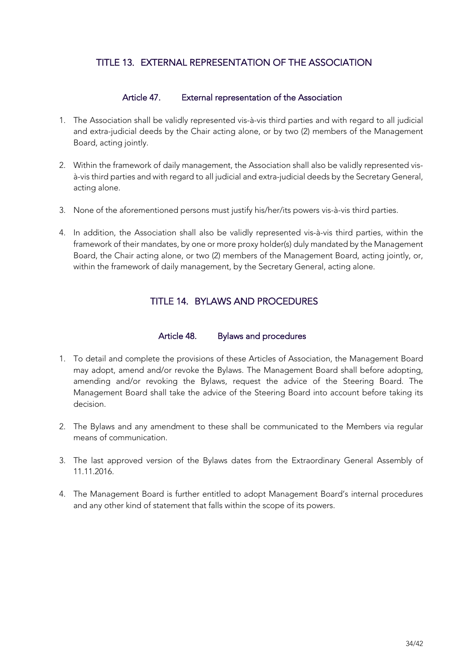# TITLE 13. EXTERNAL REPRESENTATION OF THE ASSOCIATION

## Article 47. External representation of the Association

- 1. The Association shall be validly represented vis-à-vis third parties and with regard to all judicial and extra-judicial deeds by the Chair acting alone, or by two (2) members of the Management Board, acting jointly.
- 2. Within the framework of daily management, the Association shall also be validly represented visà-vis third parties and with regard to all judicial and extra-judicial deeds by the Secretary General, acting alone.
- 3. None of the aforementioned persons must justify his/her/its powers vis-à-vis third parties.
- 4. In addition, the Association shall also be validly represented vis-à-vis third parties, within the framework of their mandates, by one or more proxy holder(s) duly mandated by the Management Board, the Chair acting alone, or two (2) members of the Management Board, acting jointly, or, within the framework of daily management, by the Secretary General, acting alone.

# TITLE 14. BYLAWS AND PROCEDURES

## Article 48. Bylaws and procedures

- 1. To detail and complete the provisions of these Articles of Association, the Management Board may adopt, amend and/or revoke the Bylaws. The Management Board shall before adopting, amending and/or revoking the Bylaws, request the advice of the Steering Board. The Management Board shall take the advice of the Steering Board into account before taking its decision.
- 2. The Bylaws and any amendment to these shall be communicated to the Members via regular means of communication.
- 3. The last approved version of the Bylaws dates from the Extraordinary General Assembly of 11.11.2016.
- 4. The Management Board is further entitled to adopt Management Board's internal procedures and any other kind of statement that falls within the scope of its powers.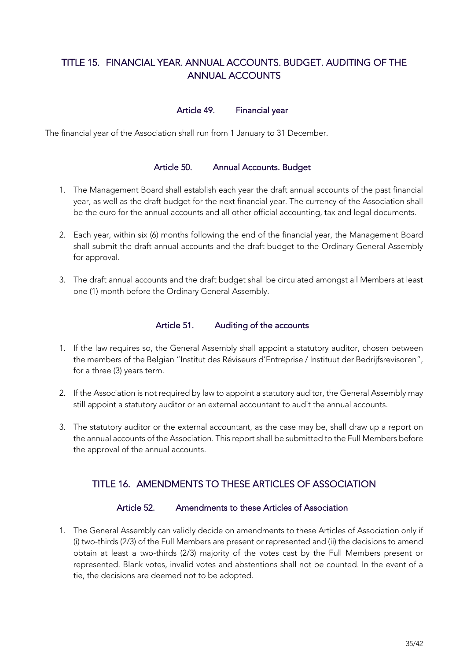# TITLE 15. FINANCIAL YEAR. ANNUAL ACCOUNTS. BUDGET. AUDITING OF THE ANNUAL ACCOUNTS

# Article 49. Financial year

The financial year of the Association shall run from 1 January to 31 December.

#### Article 50. Annual Accounts. Budget

- 1. The Management Board shall establish each year the draft annual accounts of the past financial year, as well as the draft budget for the next financial year. The currency of the Association shall be the euro for the annual accounts and all other official accounting, tax and legal documents.
- 2. Each year, within six (6) months following the end of the financial year, the Management Board shall submit the draft annual accounts and the draft budget to the Ordinary General Assembly for approval.
- 3. The draft annual accounts and the draft budget shall be circulated amongst all Members at least one (1) month before the Ordinary General Assembly.

#### Article 51. Auditing of the accounts

- 1. If the law requires so, the General Assembly shall appoint a statutory auditor, chosen between the members of the Belgian "Institut des Réviseurs d'Entreprise / Instituut der Bedrijfsrevisoren", for a three (3) years term.
- 2. If the Association is not required by law to appoint a statutory auditor, the General Assembly may still appoint a statutory auditor or an external accountant to audit the annual accounts.
- 3. The statutory auditor or the external accountant, as the case may be, shall draw up a report on the annual accounts of the Association. This report shall be submitted to the Full Members before the approval of the annual accounts.

# TITLE 16. AMENDMENTS TO THESE ARTICLES OF ASSOCIATION

#### Article 52. Amendments to these Articles of Association

1. The General Assembly can validly decide on amendments to these Articles of Association only if (i) two-thirds (2/3) of the Full Members are present or represented and (ii) the decisions to amend obtain at least a two-thirds (2/3) majority of the votes cast by the Full Members present or represented. Blank votes, invalid votes and abstentions shall not be counted. In the event of a tie, the decisions are deemed not to be adopted.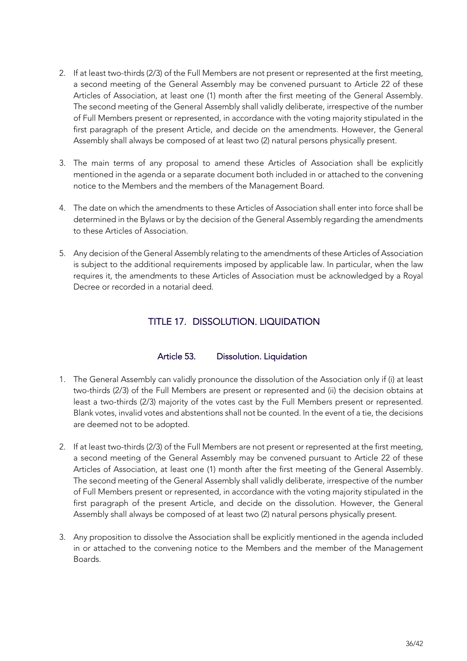- 2. If at least two-thirds (2/3) of the Full Members are not present or represented at the first meeting, a second meeting of the General Assembly may be convened pursuant to Article 22 of these Articles of Association, at least one (1) month after the first meeting of the General Assembly. The second meeting of the General Assembly shall validly deliberate, irrespective of the number of Full Members present or represented, in accordance with the voting majority stipulated in the first paragraph of the present Article, and decide on the amendments. However, the General Assembly shall always be composed of at least two (2) natural persons physically present.
- 3. The main terms of any proposal to amend these Articles of Association shall be explicitly mentioned in the agenda or a separate document both included in or attached to the convening notice to the Members and the members of the Management Board.
- 4. The date on which the amendments to these Articles of Association shall enter into force shall be determined in the Bylaws or by the decision of the General Assembly regarding the amendments to these Articles of Association.
- 5. Any decision of the General Assembly relating to the amendments of these Articles of Association is subject to the additional requirements imposed by applicable law. In particular, when the law requires it, the amendments to these Articles of Association must be acknowledged by a Royal Decree or recorded in a notarial deed.

# TITLE 17. DISSOLUTION. LIQUIDATION

# Article 53. Dissolution. Liquidation

- 1. The General Assembly can validly pronounce the dissolution of the Association only if (i) at least two-thirds (2/3) of the Full Members are present or represented and (ii) the decision obtains at least a two-thirds (2/3) majority of the votes cast by the Full Members present or represented. Blank votes, invalid votes and abstentions shall not be counted. In the event of a tie, the decisions are deemed not to be adopted.
- 2. If at least two-thirds (2/3) of the Full Members are not present or represented at the first meeting, a second meeting of the General Assembly may be convened pursuant to Article 22 of these Articles of Association, at least one (1) month after the first meeting of the General Assembly. The second meeting of the General Assembly shall validly deliberate, irrespective of the number of Full Members present or represented, in accordance with the voting majority stipulated in the first paragraph of the present Article, and decide on the dissolution. However, the General Assembly shall always be composed of at least two (2) natural persons physically present.
- 3. Any proposition to dissolve the Association shall be explicitly mentioned in the agenda included in or attached to the convening notice to the Members and the member of the Management Boards.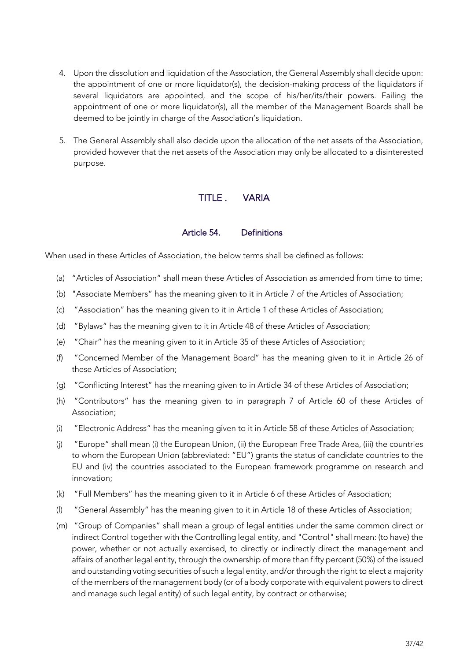- 4. Upon the dissolution and liquidation of the Association, the General Assembly shall decide upon: the appointment of one or more liquidator(s), the decision-making process of the liquidators if several liquidators are appointed, and the scope of his/her/its/their powers. Failing the appointment of one or more liquidator(s), all the member of the Management Boards shall be deemed to be jointly in charge of the Association's liquidation.
- 5. The General Assembly shall also decide upon the allocation of the net assets of the Association, provided however that the net assets of the Association may only be allocated to a disinterested purpose.

# TITLE . VARIA

#### Article 54. Definitions

When used in these Articles of Association, the below terms shall be defined as follows:

- (a) "Articles of Association" shall mean these Articles of Association as amended from time to time;
- (b) "Associate Members" has the meaning given to it in Article 7 of the Articles of Association;
- (c) "Association" has the meaning given to it in Article 1 of these Articles of Association;
- (d) "Bylaws" has the meaning given to it in Article 48 of these Articles of Association;
- (e) "Chair" has the meaning given to it in Article 35 of these Articles of Association;
- (f) "Concerned Member of the Management Board" has the meaning given to it in Article 26 of these Articles of Association;
- (g) "Conflicting Interest" has the meaning given to in Article 34 of these Articles of Association;
- (h) "Contributors" has the meaning given to in paragraph 7 of Article 60 of these Articles of Association;
- (i) "Electronic Address" has the meaning given to it in Article 58 of these Articles of Association;
- (j) "Europe" shall mean (i) the European Union, (ii) the European Free Trade Area, (iii) the countries to whom the European Union (abbreviated: "EU") grants the status of candidate countries to the EU and (iv) the countries associated to the European framework programme on research and innovation;
- (k) "Full Members" has the meaning given to it in Article 6 of these Articles of Association;
- (l) "General Assembly" has the meaning given to it in Article 18 of these Articles of Association;
- (m) "Group of Companies" shall mean a group of legal entities under the same common direct or indirect Control together with the Controlling legal entity, and "Control" shall mean: (to have) the power, whether or not actually exercised, to directly or indirectly direct the management and affairs of another legal entity, through the ownership of more than fifty percent (50%) of the issued and outstanding voting securities of such a legal entity, and/or through the right to elect a majority of the members of the management body (or of a body corporate with equivalent powers to direct and manage such legal entity) of such legal entity, by contract or otherwise;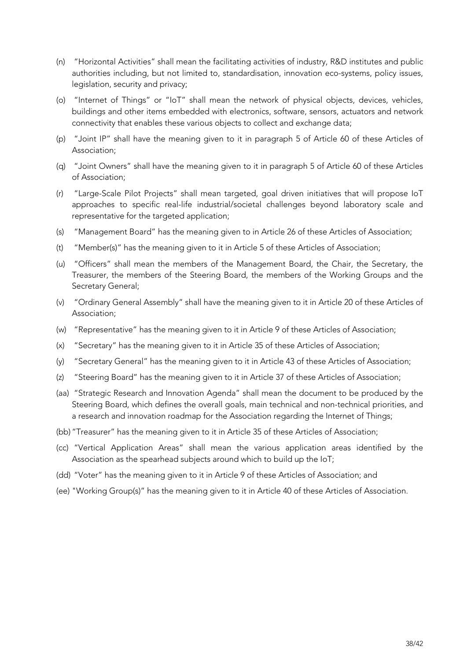- (n) "Horizontal Activities" shall mean the facilitating activities of industry, R&D institutes and public authorities including, but not limited to, standardisation, innovation eco-systems, policy issues, legislation, security and privacy;
- (o) "Internet of Things" or "IoT" shall mean the network of physical objects, devices, vehicles, buildings and other items embedded with electronics, software, sensors, actuators and network connectivity that enables these various objects to collect and exchange data;
- (p) "Joint IP" shall have the meaning given to it in paragraph 5 of Article 60 of these Articles of Association;
- (q) "Joint Owners" shall have the meaning given to it in paragraph 5 of Article 60 of these Articles of Association;
- (r) "Large-Scale Pilot Projects" shall mean targeted, goal driven initiatives that will propose IoT approaches to specific real-life industrial/societal challenges beyond laboratory scale and representative for the targeted application;
- (s) "Management Board" has the meaning given to in Article 26 of these Articles of Association;
- (t) "Member(s)" has the meaning given to it in Article 5 of these Articles of Association;
- (u) "Officers" shall mean the members of the Management Board, the Chair, the Secretary, the Treasurer, the members of the Steering Board, the members of the Working Groups and the Secretary General;
- (v) "Ordinary General Assembly" shall have the meaning given to it in Article 20 of these Articles of Association;
- (w) "Representative" has the meaning given to it in Article 9 of these Articles of Association;
- (x) "Secretary" has the meaning given to it in Article 35 of these Articles of Association;
- (y) "Secretary General" has the meaning given to it in Article 43 of these Articles of Association;
- (z) "Steering Board" has the meaning given to it in Article 37 of these Articles of Association;
- (aa) "Strategic Research and Innovation Agenda" shall mean the document to be produced by the Steering Board, which defines the overall goals, main technical and non-technical priorities, and a research and innovation roadmap for the Association regarding the Internet of Things;
- (bb) "Treasurer" has the meaning given to it in Article 35 of these Articles of Association;
- (cc) "Vertical Application Areas" shall mean the various application areas identified by the Association as the spearhead subjects around which to build up the IoT;
- (dd) "Voter" has the meaning given to it in Article 9 of these Articles of Association; and
- (ee) "Working Group(s)" has the meaning given to it in Article 40 of these Articles of Association.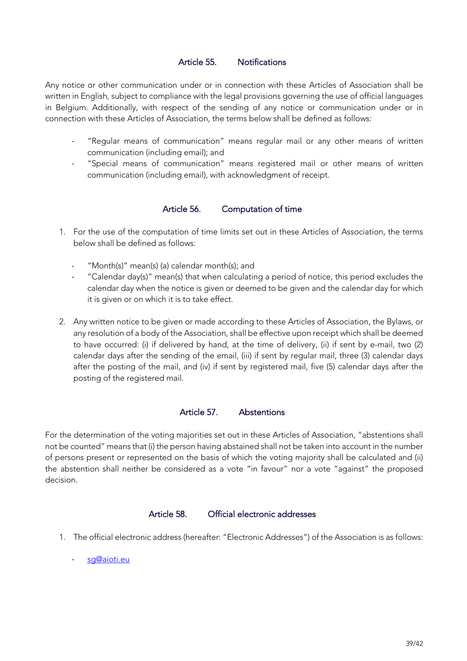# Article 55. Notifications

Any notice or other communication under or in connection with these Articles of Association shall be written in English, subject to compliance with the legal provisions governing the use of official languages in Belgium. Additionally, with respect of the sending of any notice or communication under or in connection with these Articles of Association, the terms below shall be defined as follows:

- "Regular means of communication" means regular mail or any other means of written communication (including email); and
- "Special means of communication" means registered mail or other means of written communication (including email), with acknowledgment of receipt.

## Article 56. Computation of time

- 1. For the use of the computation of time limits set out in these Articles of Association, the terms below shall be defined as follows:
	- "Month(s)" mean(s) (a) calendar month(s); and
	- "Calendar day(s)" mean(s) that when calculating a period of notice, this period excludes the calendar day when the notice is given or deemed to be given and the calendar day for which it is given or on which it is to take effect.
- 2. Any written notice to be given or made according to these Articles of Association, the Bylaws, or any resolution of a body of the Association, shall be effective upon receipt which shall be deemed to have occurred: (i) if delivered by hand, at the time of delivery, (ii) if sent by e-mail, two (2) calendar days after the sending of the email, (iii) if sent by regular mail, three (3) calendar days after the posting of the mail, and (iv) if sent by registered mail, five (5) calendar days after the posting of the registered mail.

## Article 57. Abstentions

For the determination of the voting majorities set out in these Articles of Association, "abstentions shall not be counted" means that (i) the person having abstained shall not be taken into account in the number of persons present or represented on the basis of which the voting majority shall be calculated and (ii) the abstention shall neither be considered as a vote "in favour" nor a vote "against" the proposed decision.

#### Article 58. Official electronic addresses

- 1. The official electronic address (hereafter: "Electronic Addresses") of the Association is as follows:
	- sg@aioti.eu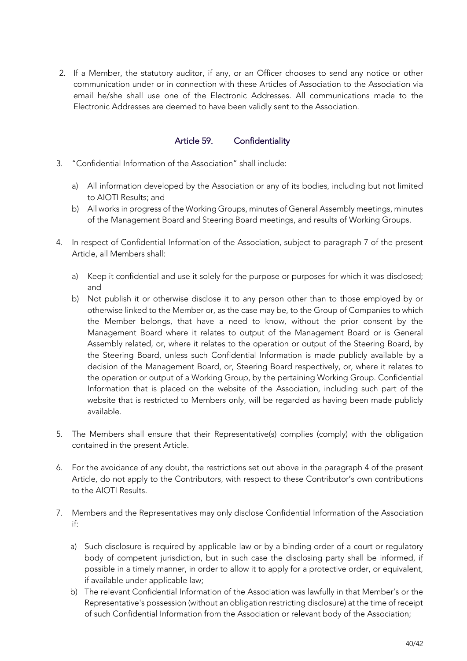2. If a Member, the statutory auditor, if any, or an Officer chooses to send any notice or other communication under or in connection with these Articles of Association to the Association via email he/she shall use one of the Electronic Addresses. All communications made to the Electronic Addresses are deemed to have been validly sent to the Association.

# Article 59. Confidentiality

- 3. "Confidential Information of the Association" shall include:
	- a) All information developed by the Association or any of its bodies, including but not limited to AIOTI Results; and
	- b) All works in progress of the Working Groups, minutes of General Assembly meetings, minutes of the Management Board and Steering Board meetings, and results of Working Groups.
- 4. In respect of Confidential Information of the Association, subject to paragraph 7 of the present Article, all Members shall:
	- a) Keep it confidential and use it solely for the purpose or purposes for which it was disclosed; and
	- b) Not publish it or otherwise disclose it to any person other than to those employed by or otherwise linked to the Member or, as the case may be, to the Group of Companies to which the Member belongs, that have a need to know, without the prior consent by the Management Board where it relates to output of the Management Board or is General Assembly related, or, where it relates to the operation or output of the Steering Board, by the Steering Board, unless such Confidential Information is made publicly available by a decision of the Management Board, or, Steering Board respectively, or, where it relates to the operation or output of a Working Group, by the pertaining Working Group. Confidential Information that is placed on the website of the Association, including such part of the website that is restricted to Members only, will be regarded as having been made publicly available.
- 5. The Members shall ensure that their Representative(s) complies (comply) with the obligation contained in the present Article.
- 6. For the avoidance of any doubt, the restrictions set out above in the paragraph 4 of the present Article, do not apply to the Contributors, with respect to these Contributor's own contributions to the AIOTI Results.
- 7. Members and the Representatives may only disclose Confidential Information of the Association if:
	- a) Such disclosure is required by applicable law or by a binding order of a court or regulatory body of competent jurisdiction, but in such case the disclosing party shall be informed, if possible in a timely manner, in order to allow it to apply for a protective order, or equivalent, if available under applicable law;
	- b) The relevant Confidential Information of the Association was lawfully in that Member's or the Representative's possession (without an obligation restricting disclosure) at the time of receipt of such Confidential Information from the Association or relevant body of the Association;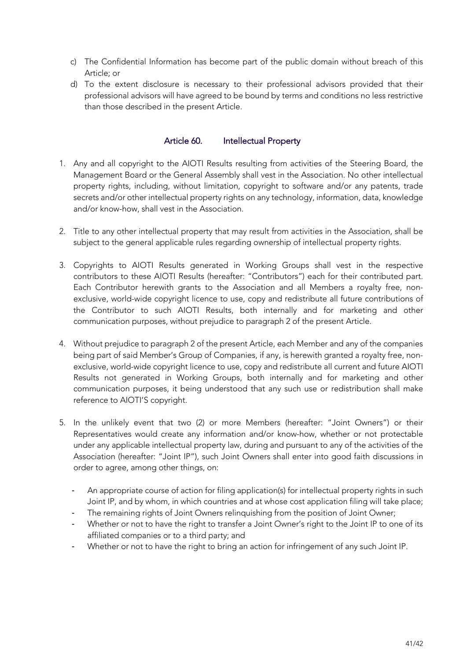- c) The Confidential Information has become part of the public domain without breach of this Article; or
- d) To the extent disclosure is necessary to their professional advisors provided that their professional advisors will have agreed to be bound by terms and conditions no less restrictive than those described in the present Article.

## Article 60. Intellectual Property

- 1. Any and all copyright to the AIOTI Results resulting from activities of the Steering Board, the Management Board or the General Assembly shall vest in the Association. No other intellectual property rights, including, without limitation, copyright to software and/or any patents, trade secrets and/or other intellectual property rights on any technology, information, data, knowledge and/or know-how, shall vest in the Association.
- 2. Title to any other intellectual property that may result from activities in the Association, shall be subject to the general applicable rules regarding ownership of intellectual property rights.
- 3. Copyrights to AIOTI Results generated in Working Groups shall vest in the respective contributors to these AIOTI Results (hereafter: "Contributors") each for their contributed part. Each Contributor herewith grants to the Association and all Members a royalty free, nonexclusive, world-wide copyright licence to use, copy and redistribute all future contributions of the Contributor to such AIOTI Results, both internally and for marketing and other communication purposes, without prejudice to paragraph 2 of the present Article.
- 4. Without prejudice to paragraph 2 of the present Article, each Member and any of the companies being part of said Member's Group of Companies, if any, is herewith granted a royalty free, nonexclusive, world-wide copyright licence to use, copy and redistribute all current and future AIOTI Results not generated in Working Groups, both internally and for marketing and other communication purposes, it being understood that any such use or redistribution shall make reference to AIOTI'S copyright.
- 5. In the unlikely event that two (2) or more Members (hereafter: "Joint Owners") or their Representatives would create any information and/or know-how, whether or not protectable under any applicable intellectual property law, during and pursuant to any of the activities of the Association (hereafter: "Joint IP"), such Joint Owners shall enter into good faith discussions in order to agree, among other things, on:
	- An appropriate course of action for filing application(s) for intellectual property rights in such Joint IP, and by whom, in which countries and at whose cost application filing will take place;
	- The remaining rights of Joint Owners relinguishing from the position of Joint Owner;
	- Whether or not to have the right to transfer a Joint Owner's right to the Joint IP to one of its affiliated companies or to a third party; and
	- Whether or not to have the right to bring an action for infringement of any such Joint IP.